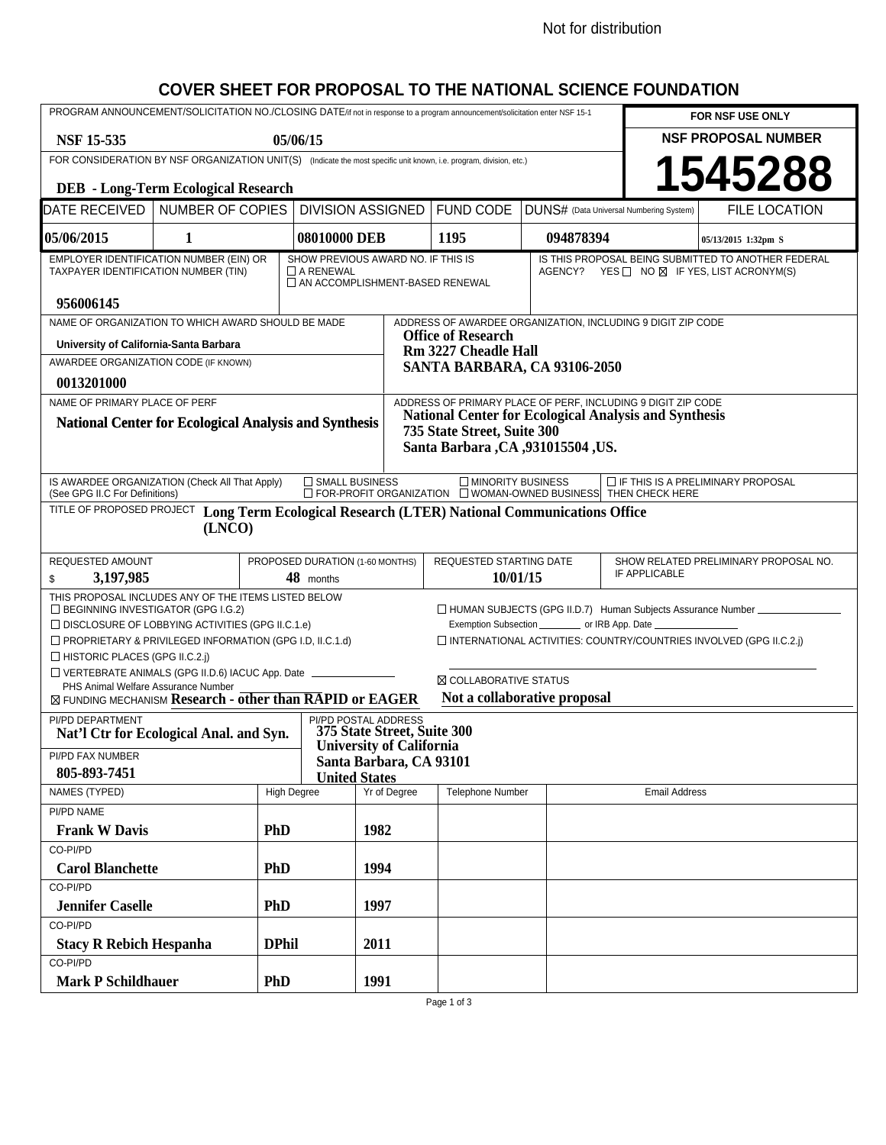## **COVER SHEET FOR PROPOSAL TO THE NATIONAL SCIENCE FOUNDATION**

| PROGRAM ANNOUNCEMENT/SOLICITATION NO./CLOSING DATE/if not in response to a program announcement/solicitation enter NSF 15-1                                                                                                                                                                                                                                                                                                                                                                             |                  |                                                                       |                                    |                             |                                                                                                                  |           |                                         | FOR NSF USE ONLY           |  |
|---------------------------------------------------------------------------------------------------------------------------------------------------------------------------------------------------------------------------------------------------------------------------------------------------------------------------------------------------------------------------------------------------------------------------------------------------------------------------------------------------------|------------------|-----------------------------------------------------------------------|------------------------------------|-----------------------------|------------------------------------------------------------------------------------------------------------------|-----------|-----------------------------------------|----------------------------|--|
| <b>NSF 15-535</b><br>05/06/15                                                                                                                                                                                                                                                                                                                                                                                                                                                                           |                  |                                                                       |                                    |                             |                                                                                                                  |           |                                         | <b>NSF PROPOSAL NUMBER</b> |  |
| FOR CONSIDERATION BY NSF ORGANIZATION UNIT(S) (Indicate the most specific unit known, i.e. program, division, etc.)                                                                                                                                                                                                                                                                                                                                                                                     |                  |                                                                       |                                    |                             |                                                                                                                  |           |                                         |                            |  |
| 1545288<br><b>DEB</b> - Long-Term Ecological Research                                                                                                                                                                                                                                                                                                                                                                                                                                                   |                  |                                                                       |                                    |                             |                                                                                                                  |           |                                         |                            |  |
| DATE RECEIVED<br><b>NUMBER OF COPIES</b>                                                                                                                                                                                                                                                                                                                                                                                                                                                                |                  |                                                                       | <b>DIVISION ASSIGNED</b>           |                             | <b>FUND CODE</b>                                                                                                 |           | DUNS# (Data Universal Numbering System) | <b>FILE LOCATION</b>       |  |
| 05/06/2015                                                                                                                                                                                                                                                                                                                                                                                                                                                                                              | 1                |                                                                       | 08010000 DEB                       |                             | 1195                                                                                                             | 094878394 |                                         | 05/13/2015 1:32pm S        |  |
| EMPLOYER IDENTIFICATION NUMBER (EIN) OR<br>TAXPAYER IDENTIFICATION NUMBER (TIN)                                                                                                                                                                                                                                                                                                                                                                                                                         | $\Box$ A RENEWAL | SHOW PREVIOUS AWARD NO. IF THIS IS<br>AN ACCOMPLISHMENT-BASED RENEWAL |                                    |                             | IS THIS PROPOSAL BEING SUBMITTED TO ANOTHER FEDERAL<br>AGENCY? YES $\Box$ NO $\boxtimes$ IF YES, LIST ACRONYM(S) |           |                                         |                            |  |
| 956006145<br>NAME OF ORGANIZATION TO WHICH AWARD SHOULD BE MADE<br>ADDRESS OF AWARDEE ORGANIZATION, INCLUDING 9 DIGIT ZIP CODE                                                                                                                                                                                                                                                                                                                                                                          |                  |                                                                       |                                    |                             |                                                                                                                  |           |                                         |                            |  |
| University of California-Santa Barbara                                                                                                                                                                                                                                                                                                                                                                                                                                                                  |                  |                                                                       |                                    | <b>Office of Research</b>   |                                                                                                                  |           |                                         |                            |  |
| AWARDEE ORGANIZATION CODE (IF KNOWN)                                                                                                                                                                                                                                                                                                                                                                                                                                                                    |                  |                                                                       |                                    | <b>Rm 3227 Cheadle Hall</b> |                                                                                                                  |           |                                         |                            |  |
| 0013201000                                                                                                                                                                                                                                                                                                                                                                                                                                                                                              |                  | SANTA BARBARA, CA 93106-2050                                          |                                    |                             |                                                                                                                  |           |                                         |                            |  |
| ADDRESS OF PRIMARY PLACE OF PERF, INCLUDING 9 DIGIT ZIP CODE<br>NAME OF PRIMARY PLACE OF PERF                                                                                                                                                                                                                                                                                                                                                                                                           |                  |                                                                       |                                    |                             |                                                                                                                  |           |                                         |                            |  |
| <b>National Center for Ecological Analysis and Synthesis</b><br><b>National Center for Ecological Analysis and Synthesis</b><br>735 State Street, Suite 300<br>Santa Barbara, CA , 931015504, US.                                                                                                                                                                                                                                                                                                       |                  |                                                                       |                                    |                             |                                                                                                                  |           |                                         |                            |  |
| IS AWARDEE ORGANIZATION (Check All That Apply)<br>□ SMALL BUSINESS<br>MINORITY BUSINESS<br>$\Box$ IF THIS IS A PRELIMINARY PROPOSAL<br>$\Box$ FOR-PROFIT ORGANIZATION $\Box$ WOMAN-OWNED BUSINESS THEN CHECK HERE<br>(See GPG II.C For Definitions)                                                                                                                                                                                                                                                     |                  |                                                                       |                                    |                             |                                                                                                                  |           |                                         |                            |  |
| TITLE OF PROPOSED PROJECT<br>Long Term Ecological Research (LTER) National Communications Office<br>(LNCO)                                                                                                                                                                                                                                                                                                                                                                                              |                  |                                                                       |                                    |                             |                                                                                                                  |           |                                         |                            |  |
| REQUESTED AMOUNT                                                                                                                                                                                                                                                                                                                                                                                                                                                                                        |                  |                                                                       | PROPOSED DURATION (1-60 MONTHS)    |                             | REQUESTED STARTING DATE                                                                                          |           | SHOW RELATED PRELIMINARY PROPOSAL NO.   |                            |  |
| 3,197,985<br>\$                                                                                                                                                                                                                                                                                                                                                                                                                                                                                         |                  |                                                                       | 48 months                          |                             |                                                                                                                  | 10/01/15  |                                         | IF APPLICABLE              |  |
| THIS PROPOSAL INCLUDES ANY OF THE ITEMS LISTED BELOW<br>□ BEGINNING INVESTIGATOR (GPG I.G.2)<br>□ HUMAN SUBJECTS (GPG II.D.7) Human Subjects Assurance Number _____________<br>$\Box$ DISCLOSURE OF LOBBYING ACTIVITIES (GPG II.C.1.e)<br>Exemption Subsection ____________ or IRB App. Date _____________________________<br>PROPRIETARY & PRIVILEGED INFORMATION (GPG I.D, II.C.1.d)<br>□ INTERNATIONAL ACTIVITIES: COUNTRY/COUNTRIES INVOLVED (GPG II.C.2.j)<br>$\Box$ HISTORIC PLACES (GPG II.C.2.) |                  |                                                                       |                                    |                             |                                                                                                                  |           |                                         |                            |  |
| □ VERTEBRATE ANIMALS (GPG II.D.6) IACUC App. Date _____________<br>⊠ COLLABORATIVE STATUS                                                                                                                                                                                                                                                                                                                                                                                                               |                  |                                                                       |                                    |                             |                                                                                                                  |           |                                         |                            |  |
| PHS Animal Welfare Assurance Number<br>⊠ FUNDING MECHANISM Research - other than RAPID or EAGER<br>Not a collaborative proposal                                                                                                                                                                                                                                                                                                                                                                         |                  |                                                                       |                                    |                             |                                                                                                                  |           |                                         |                            |  |
| PI/PD DEPARTMENT<br>PI/PD POSTAL ADDRESS<br>375 State Street, Suite 300<br>Nat'l Ctr for Ecological Anal. and Syn.<br><b>University of California</b><br>PI/PD FAX NUMBER<br>Santa Barbara, CA 93101<br>805-893-7451<br><b>United States</b>                                                                                                                                                                                                                                                            |                  |                                                                       |                                    |                             |                                                                                                                  |           |                                         |                            |  |
| NAMES (TYPED)                                                                                                                                                                                                                                                                                                                                                                                                                                                                                           |                  |                                                                       | Yr of Degree<br><b>High Degree</b> |                             | Telephone Number<br><b>Email Address</b>                                                                         |           |                                         |                            |  |
| PI/PD NAME                                                                                                                                                                                                                                                                                                                                                                                                                                                                                              |                  |                                                                       |                                    |                             |                                                                                                                  |           |                                         |                            |  |
| <b>Frank W Davis</b>                                                                                                                                                                                                                                                                                                                                                                                                                                                                                    |                  | <b>PhD</b>                                                            |                                    | 1982                        |                                                                                                                  |           |                                         |                            |  |
| CO-PI/PD<br><b>Carol Blanchette</b>                                                                                                                                                                                                                                                                                                                                                                                                                                                                     |                  |                                                                       |                                    |                             |                                                                                                                  |           |                                         |                            |  |
| CO-PI/PD                                                                                                                                                                                                                                                                                                                                                                                                                                                                                                |                  | <b>PhD</b>                                                            |                                    | 1994                        |                                                                                                                  |           |                                         |                            |  |
| <b>Jennifer Caselle</b>                                                                                                                                                                                                                                                                                                                                                                                                                                                                                 |                  | <b>PhD</b>                                                            |                                    | 1997                        |                                                                                                                  |           |                                         |                            |  |
| CO-PI/PD                                                                                                                                                                                                                                                                                                                                                                                                                                                                                                |                  |                                                                       |                                    |                             |                                                                                                                  |           |                                         |                            |  |
| <b>Stacy R Rebich Hespanha</b>                                                                                                                                                                                                                                                                                                                                                                                                                                                                          |                  | <b>DPhil</b>                                                          |                                    | 2011                        |                                                                                                                  |           |                                         |                            |  |
| CO-PI/PD                                                                                                                                                                                                                                                                                                                                                                                                                                                                                                |                  |                                                                       |                                    |                             |                                                                                                                  |           |                                         |                            |  |
| <b>Mark P Schildhauer</b>                                                                                                                                                                                                                                                                                                                                                                                                                                                                               |                  | <b>PhD</b>                                                            |                                    | 1991                        |                                                                                                                  |           |                                         |                            |  |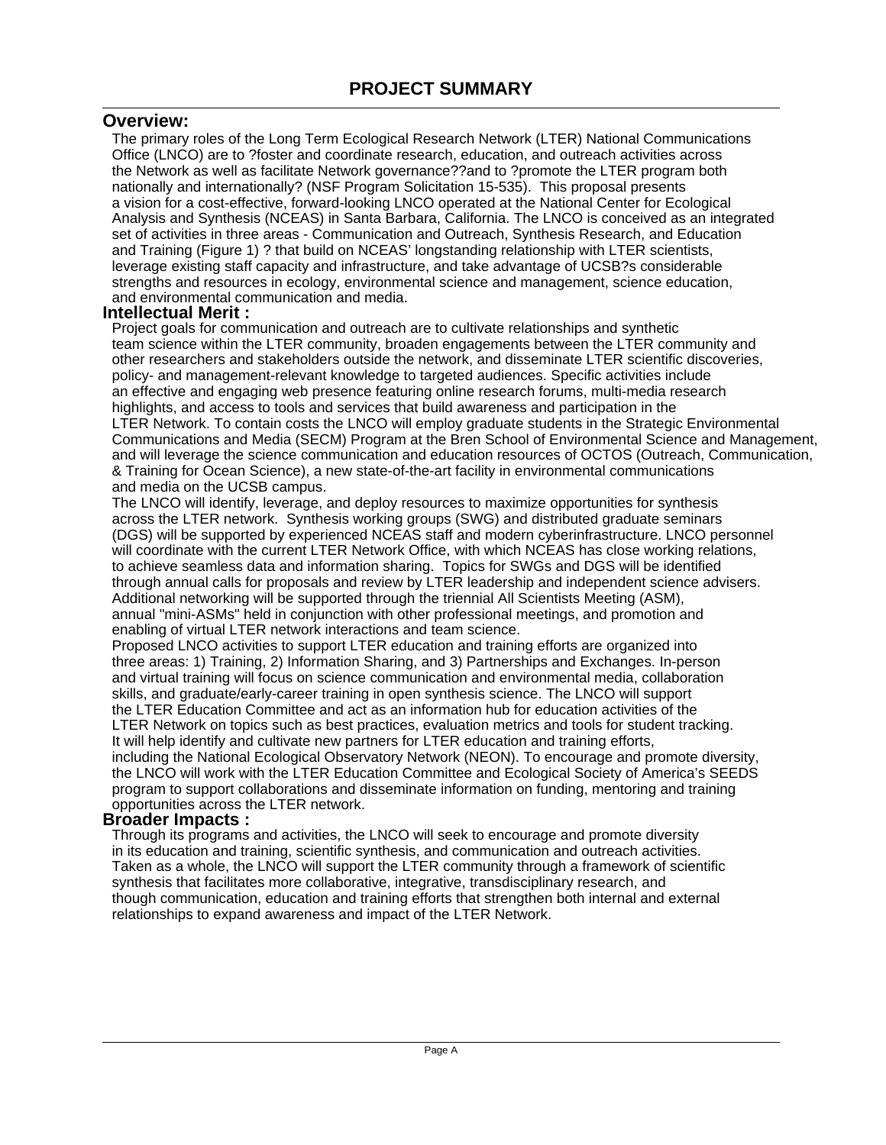## **Overview:**

The primary roles of the Long Term Ecological Research Network (LTER) National Communications Office (LNCO) are to ?foster and coordinate research, education, and outreach activities across the Network as well as facilitate Network governance??and to ?promote the LTER program both nationally and internationally? (NSF Program Solicitation 15-535). This proposal presents a vision for a cost-effective, forward-looking LNCO operated at the National Center for Ecological Analysis and Synthesis (NCEAS) in Santa Barbara, California. The LNCO is conceived as an integrated set of activities in three areas - Communication and Outreach, Synthesis Research, and Education and Training (Figure 1) ? that build on NCEAS' longstanding relationship with LTER scientists, leverage existing staff capacity and infrastructure, and take advantage of UCSB?s considerable strengths and resources in ecology, environmental science and management, science education, and environmental communication and media.

## **Intellectual Merit :**

Project goals for communication and outreach are to cultivate relationships and synthetic team science within the LTER community, broaden engagements between the LTER community and other researchers and stakeholders outside the network, and disseminate LTER scientific discoveries, policy- and management-relevant knowledge to targeted audiences. Specific activities include an effective and engaging web presence featuring online research forums, multi-media research highlights, and access to tools and services that build awareness and participation in the LTER Network. To contain costs the LNCO will employ graduate students in the Strategic Environmental Communications and Media (SECM) Program at the Bren School of Environmental Science and Management, and will leverage the science communication and education resources of OCTOS (Outreach, Communication, & Training for Ocean Science), a new state-of-the-art facility in environmental communications and media on the UCSB campus.

The LNCO will identify, leverage, and deploy resources to maximize opportunities for synthesis across the LTER network. Synthesis working groups (SWG) and distributed graduate seminars (DGS) will be supported by experienced NCEAS staff and modern cyberinfrastructure. LNCO personnel will coordinate with the current LTER Network Office, with which NCEAS has close working relations, to achieve seamless data and information sharing. Topics for SWGs and DGS will be identified through annual calls for proposals and review by LTER leadership and independent science advisers. Additional networking will be supported through the triennial All Scientists Meeting (ASM), annual "mini-ASMs" held in conjunction with other professional meetings, and promotion and enabling of virtual LTER network interactions and team science.

Proposed LNCO activities to support LTER education and training efforts are organized into three areas: 1) Training, 2) Information Sharing, and 3) Partnerships and Exchanges. In-person and virtual training will focus on science communication and environmental media, collaboration skills, and graduate/early-career training in open synthesis science. The LNCO will support the LTER Education Committee and act as an information hub for education activities of the LTER Network on topics such as best practices, evaluation metrics and tools for student tracking. It will help identify and cultivate new partners for LTER education and training efforts, including the National Ecological Observatory Network (NEON). To encourage and promote diversity, the LNCO will work with the LTER Education Committee and Ecological Society of America's SEEDS program to support collaborations and disseminate information on funding, mentoring and training opportunities across the LTER network.

#### **Broader Impacts :**

Through its programs and activities, the LNCO will seek to encourage and promote diversity in its education and training, scientific synthesis, and communication and outreach activities. Taken as a whole, the LNCO will support the LTER community through a framework of scientific synthesis that facilitates more collaborative, integrative, transdisciplinary research, and though communication, education and training efforts that strengthen both internal and external relationships to expand awareness and impact of the LTER Network.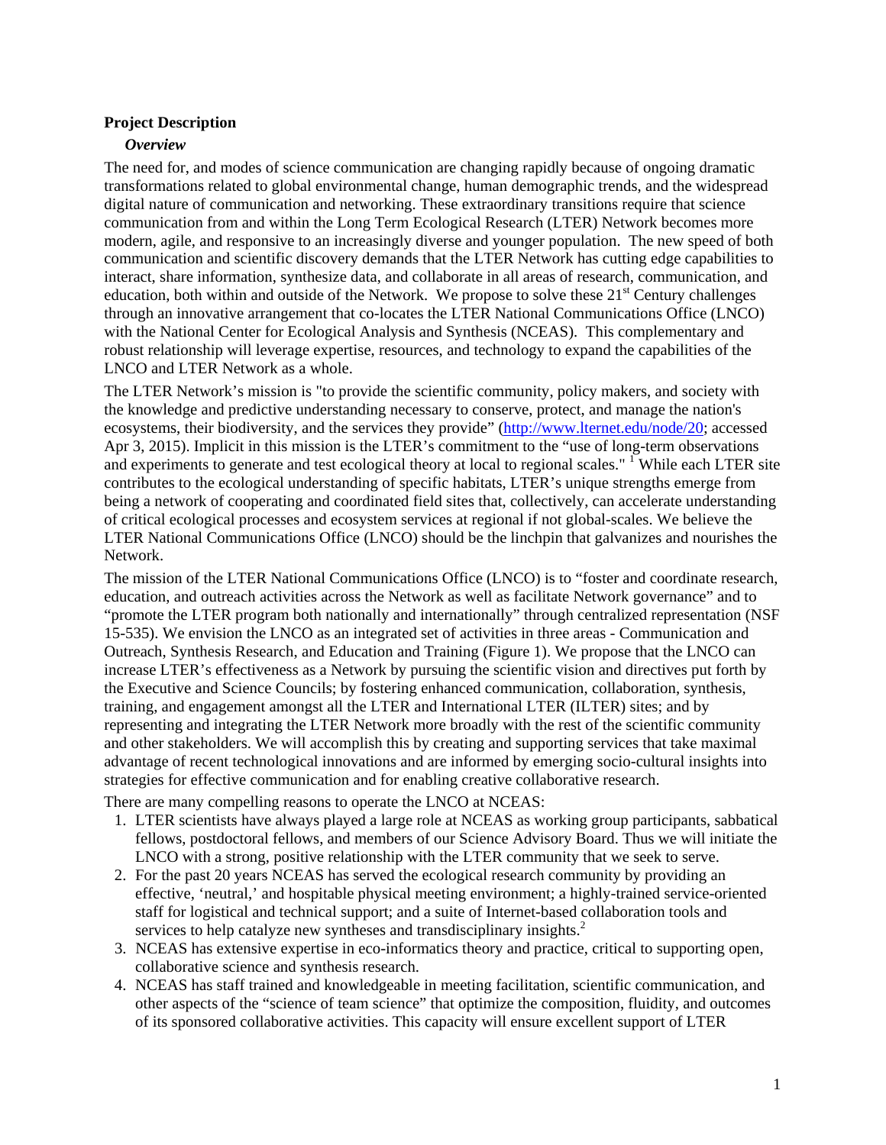## **Project Description**

## *Overview*

The need for, and modes of science communication are changing rapidly because of ongoing dramatic transformations related to global environmental change, human demographic trends, and the widespread digital nature of communication and networking. These extraordinary transitions require that science communication from and within the Long Term Ecological Research (LTER) Network becomes more modern, agile, and responsive to an increasingly diverse and younger population. The new speed of both communication and scientific discovery demands that the LTER Network has cutting edge capabilities to interact, share information, synthesize data, and collaborate in all areas of research, communication, and education, both within and outside of the Network. We propose to solve these  $21<sup>st</sup>$  Century challenges through an innovative arrangement that co-locates the LTER National Communications Office (LNCO) with the National Center for Ecological Analysis and Synthesis (NCEAS). This complementary and robust relationship will leverage expertise, resources, and technology to expand the capabilities of the LNCO and LTER Network as a whole.

The LTER Network's mission is "to provide the scientific community, policy makers, and society with the knowledge and predictive understanding necessary to conserve, protect, and manage the nation's ecosystems, their biodiversity, and the services they provide" (http://www.lternet.edu/node/20; accessed Apr 3, 2015). Implicit in this mission is the LTER's commitment to the "use of long-term observations and experiments to generate and test ecological theory at local to regional scales." <sup>1</sup> While each LTER site contributes to the ecological understanding of specific habitats, LTER's unique strengths emerge from being a network of cooperating and coordinated field sites that, collectively, can accelerate understanding of critical ecological processes and ecosystem services at regional if not global-scales. We believe the LTER National Communications Office (LNCO) should be the linchpin that galvanizes and nourishes the Network.

The mission of the LTER National Communications Office (LNCO) is to "foster and coordinate research, education, and outreach activities across the Network as well as facilitate Network governance" and to "promote the LTER program both nationally and internationally" through centralized representation (NSF 15-535). We envision the LNCO as an integrated set of activities in three areas - Communication and Outreach, Synthesis Research, and Education and Training (Figure 1). We propose that the LNCO can increase LTER's effectiveness as a Network by pursuing the scientific vision and directives put forth by the Executive and Science Councils; by fostering enhanced communication, collaboration, synthesis, training, and engagement amongst all the LTER and International LTER (ILTER) sites; and by representing and integrating the LTER Network more broadly with the rest of the scientific community and other stakeholders. We will accomplish this by creating and supporting services that take maximal advantage of recent technological innovations and are informed by emerging socio-cultural insights into strategies for effective communication and for enabling creative collaborative research.

There are many compelling reasons to operate the LNCO at NCEAS:

- 1. LTER scientists have always played a large role at NCEAS as working group participants, sabbatical fellows, postdoctoral fellows, and members of our Science Advisory Board. Thus we will initiate the LNCO with a strong, positive relationship with the LTER community that we seek to serve.
- 2. For the past 20 years NCEAS has served the ecological research community by providing an effective, 'neutral,' and hospitable physical meeting environment; a highly-trained service-oriented staff for logistical and technical support; and a suite of Internet-based collaboration tools and services to help catalyze new syntheses and transdisciplinary insights.<sup>2</sup>
- 3. NCEAS has extensive expertise in eco-informatics theory and practice, critical to supporting open, collaborative science and synthesis research.
- 4. NCEAS has staff trained and knowledgeable in meeting facilitation, scientific communication, and other aspects of the "science of team science" that optimize the composition, fluidity, and outcomes of its sponsored collaborative activities. This capacity will ensure excellent support of LTER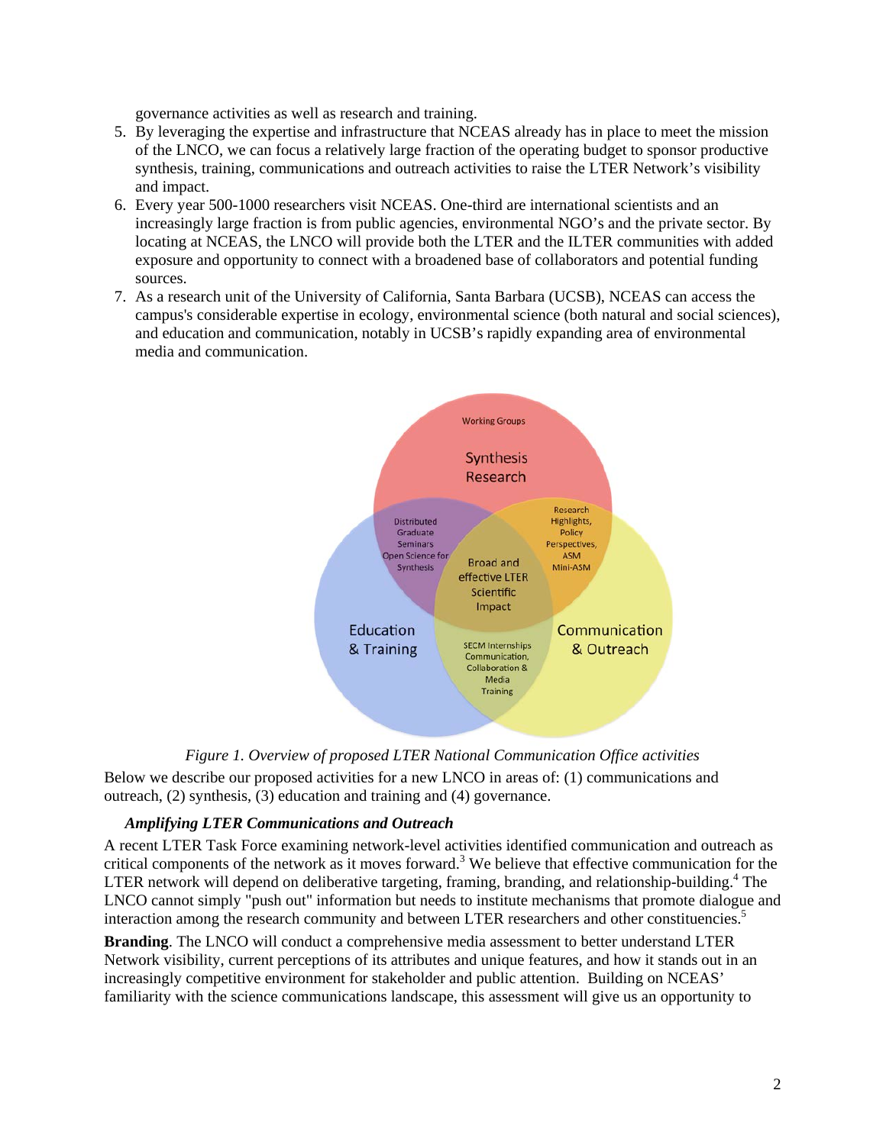governance activities as well as research and training.

- 5. By leveraging the expertise and infrastructure that NCEAS already has in place to meet the mission of the LNCO, we can focus a relatively large fraction of the operating budget to sponsor productive synthesis, training, communications and outreach activities to raise the LTER Network's visibility and impact.
- 6. Every year 500-1000 researchers visit NCEAS. One-third are international scientists and an increasingly large fraction is from public agencies, environmental NGO's and the private sector. By locating at NCEAS, the LNCO will provide both the LTER and the ILTER communities with added exposure and opportunity to connect with a broadened base of collaborators and potential funding sources.
- 7. As a research unit of the University of California, Santa Barbara (UCSB), NCEAS can access the campus's considerable expertise in ecology, environmental science (both natural and social sciences), and education and communication, notably in UCSB's rapidly expanding area of environmental media and communication.



## *Figure 1. Overview of proposed LTER National Communication Office activities*

Below we describe our proposed activities for a new LNCO in areas of: (1) communications and outreach, (2) synthesis, (3) education and training and (4) governance.

#### *Amplifying LTER Communications and Outreach*

A recent LTER Task Force examining network-level activities identified communication and outreach as critical components of the network as it moves forward.<sup>3</sup> We believe that effective communication for the LTER network will depend on deliberative targeting, framing, branding, and relationship-building.<sup>4</sup> The LNCO cannot simply "push out" information but needs to institute mechanisms that promote dialogue and interaction among the research community and between LTER researchers and other constituencies.<sup>5</sup>

**Branding**. The LNCO will conduct a comprehensive media assessment to better understand LTER Network visibility, current perceptions of its attributes and unique features, and how it stands out in an increasingly competitive environment for stakeholder and public attention. Building on NCEAS' familiarity with the science communications landscape, this assessment will give us an opportunity to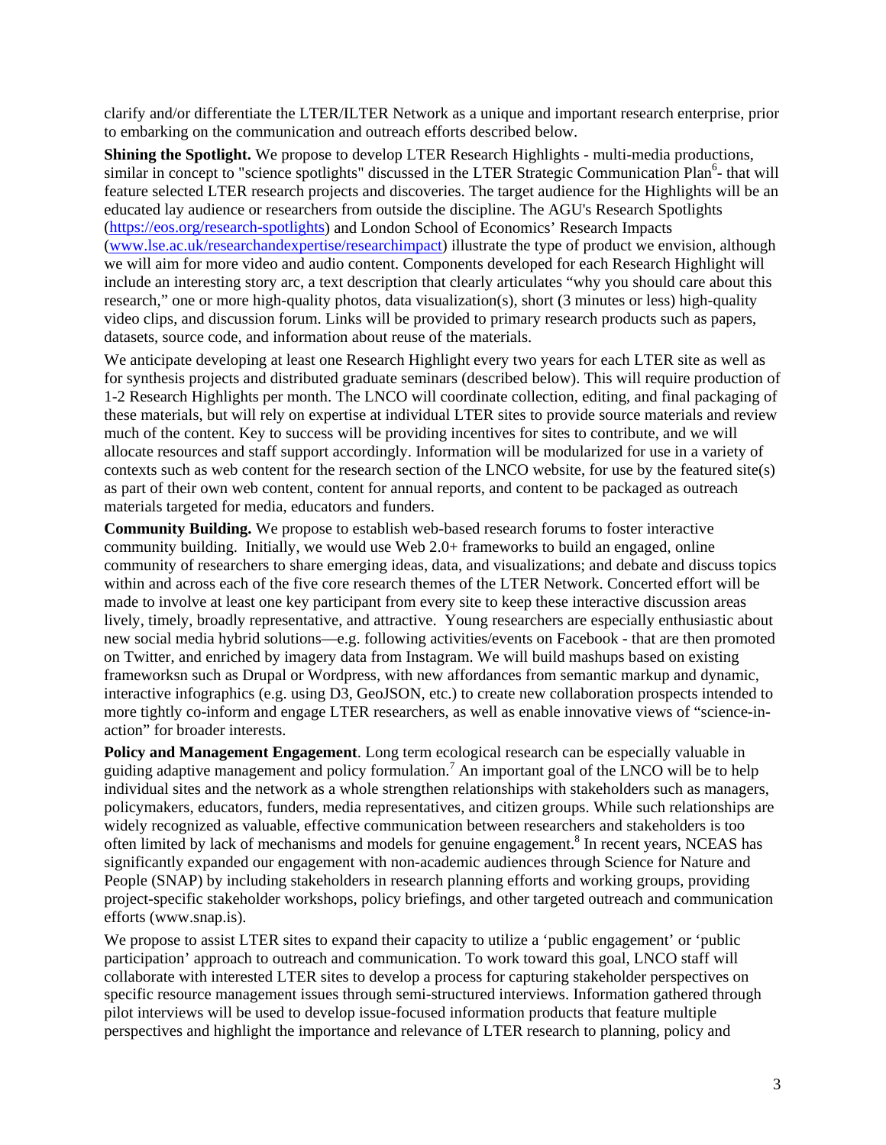clarify and/or differentiate the LTER/ILTER Network as a unique and important research enterprise, prior to embarking on the communication and outreach efforts described below.

**Shining the Spotlight.** We propose to develop LTER Research Highlights - multi-media productions, similar in concept to "science spotlights" discussed in the LTER Strategic Communication Plan<sup>6</sup>- that will feature selected LTER research projects and discoveries. The target audience for the Highlights will be an educated lay audience or researchers from outside the discipline. The AGU's Research Spotlights (https://eos.org/research-spotlights) and London School of Economics' Research Impacts (www.lse.ac.uk/researchandexpertise/researchimpact) illustrate the type of product we envision, although we will aim for more video and audio content. Components developed for each Research Highlight will include an interesting story arc, a text description that clearly articulates "why you should care about this research," one or more high-quality photos, data visualization(s), short (3 minutes or less) high-quality video clips, and discussion forum. Links will be provided to primary research products such as papers, datasets, source code, and information about reuse of the materials.

We anticipate developing at least one Research Highlight every two years for each LTER site as well as for synthesis projects and distributed graduate seminars (described below). This will require production of 1-2 Research Highlights per month. The LNCO will coordinate collection, editing, and final packaging of these materials, but will rely on expertise at individual LTER sites to provide source materials and review much of the content. Key to success will be providing incentives for sites to contribute, and we will allocate resources and staff support accordingly. Information will be modularized for use in a variety of contexts such as web content for the research section of the LNCO website, for use by the featured site(s) as part of their own web content, content for annual reports, and content to be packaged as outreach materials targeted for media, educators and funders.

**Community Building.** We propose to establish web-based research forums to foster interactive community building. Initially, we would use Web 2.0+ frameworks to build an engaged, online community of researchers to share emerging ideas, data, and visualizations; and debate and discuss topics within and across each of the five core research themes of the LTER Network. Concerted effort will be made to involve at least one key participant from every site to keep these interactive discussion areas lively, timely, broadly representative, and attractive. Young researchers are especially enthusiastic about new social media hybrid solutions—e.g. following activities/events on Facebook - that are then promoted on Twitter, and enriched by imagery data from Instagram. We will build mashups based on existing frameworksn such as Drupal or Wordpress, with new affordances from semantic markup and dynamic, interactive infographics (e.g. using D3, GeoJSON, etc.) to create new collaboration prospects intended to more tightly co-inform and engage LTER researchers, as well as enable innovative views of "science-inaction" for broader interests.

**Policy and Management Engagement**. Long term ecological research can be especially valuable in guiding adaptive management and policy formulation.<sup>7</sup> An important goal of the LNCO will be to help individual sites and the network as a whole strengthen relationships with stakeholders such as managers, policymakers, educators, funders, media representatives, and citizen groups. While such relationships are widely recognized as valuable, effective communication between researchers and stakeholders is too often limited by lack of mechanisms and models for genuine engagement.<sup>8</sup> In recent years, NCEAS has significantly expanded our engagement with non-academic audiences through Science for Nature and People (SNAP) by including stakeholders in research planning efforts and working groups, providing project-specific stakeholder workshops, policy briefings, and other targeted outreach and communication efforts (www.snap.is).

We propose to assist LTER sites to expand their capacity to utilize a 'public engagement' or 'public participation' approach to outreach and communication. To work toward this goal, LNCO staff will collaborate with interested LTER sites to develop a process for capturing stakeholder perspectives on specific resource management issues through semi-structured interviews. Information gathered through pilot interviews will be used to develop issue-focused information products that feature multiple perspectives and highlight the importance and relevance of LTER research to planning, policy and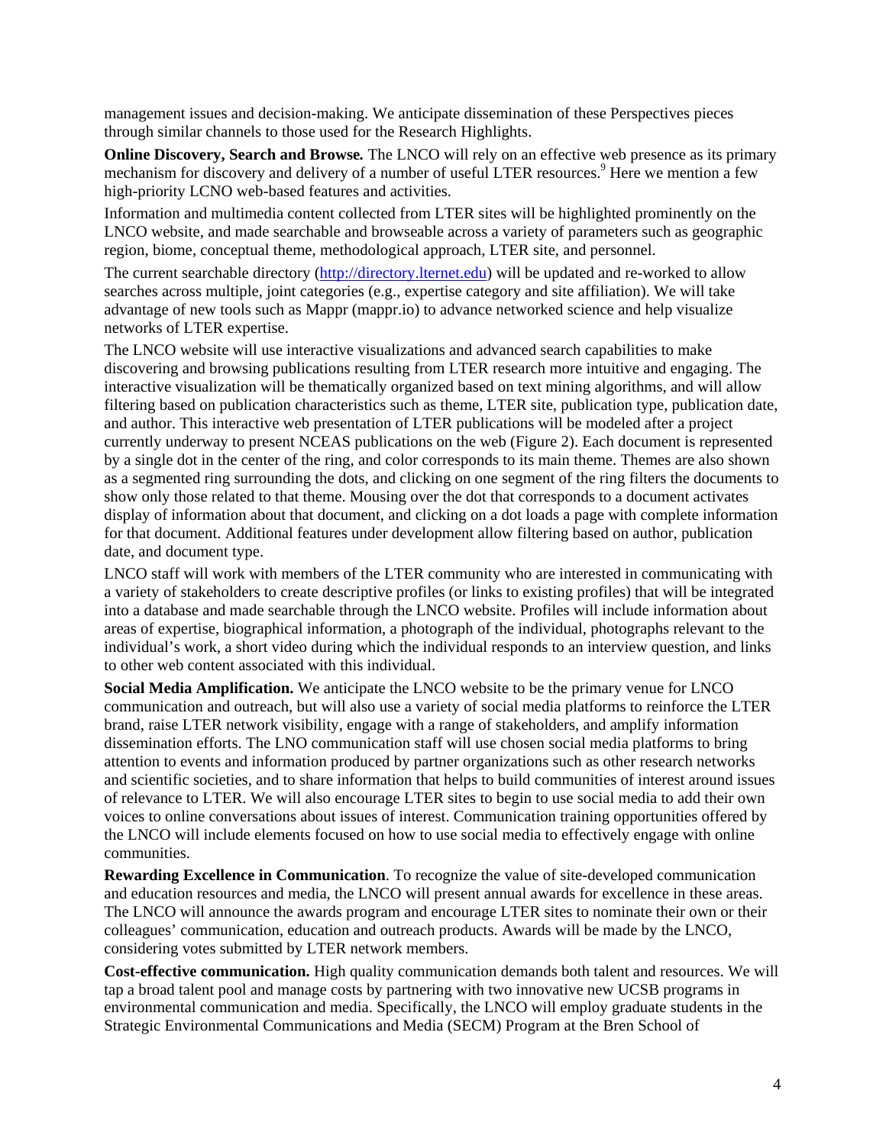management issues and decision-making. We anticipate dissemination of these Perspectives pieces through similar channels to those used for the Research Highlights.

**Online Discovery, Search and Browse***.* The LNCO will rely on an effective web presence as its primary mechanism for discovery and delivery of a number of useful LTER resources.<sup>9</sup> Here we mention a few high-priority LCNO web-based features and activities.

Information and multimedia content collected from LTER sites will be highlighted prominently on the LNCO website, and made searchable and browseable across a variety of parameters such as geographic region, biome, conceptual theme, methodological approach, LTER site, and personnel.

The current searchable directory (http://directory.lternet.edu) will be updated and re-worked to allow searches across multiple, joint categories (e.g., expertise category and site affiliation). We will take advantage of new tools such as Mappr (mappr.io) to advance networked science and help visualize networks of LTER expertise.

The LNCO website will use interactive visualizations and advanced search capabilities to make discovering and browsing publications resulting from LTER research more intuitive and engaging. The interactive visualization will be thematically organized based on text mining algorithms, and will allow filtering based on publication characteristics such as theme, LTER site, publication type, publication date, and author. This interactive web presentation of LTER publications will be modeled after a project currently underway to present NCEAS publications on the web (Figure 2). Each document is represented by a single dot in the center of the ring, and color corresponds to its main theme. Themes are also shown as a segmented ring surrounding the dots, and clicking on one segment of the ring filters the documents to show only those related to that theme. Mousing over the dot that corresponds to a document activates display of information about that document, and clicking on a dot loads a page with complete information for that document. Additional features under development allow filtering based on author, publication date, and document type.

LNCO staff will work with members of the LTER community who are interested in communicating with a variety of stakeholders to create descriptive profiles (or links to existing profiles) that will be integrated into a database and made searchable through the LNCO website. Profiles will include information about areas of expertise, biographical information, a photograph of the individual, photographs relevant to the individual's work, a short video during which the individual responds to an interview question, and links to other web content associated with this individual.

**Social Media Amplification.** We anticipate the LNCO website to be the primary venue for LNCO communication and outreach, but will also use a variety of social media platforms to reinforce the LTER brand, raise LTER network visibility, engage with a range of stakeholders, and amplify information dissemination efforts. The LNO communication staff will use chosen social media platforms to bring attention to events and information produced by partner organizations such as other research networks and scientific societies, and to share information that helps to build communities of interest around issues of relevance to LTER. We will also encourage LTER sites to begin to use social media to add their own voices to online conversations about issues of interest. Communication training opportunities offered by the LNCO will include elements focused on how to use social media to effectively engage with online communities.

**Rewarding Excellence in Communication**. To recognize the value of site-developed communication and education resources and media, the LNCO will present annual awards for excellence in these areas. The LNCO will announce the awards program and encourage LTER sites to nominate their own or their colleagues' communication, education and outreach products. Awards will be made by the LNCO, considering votes submitted by LTER network members.

**Cost-effective communication.** High quality communication demands both talent and resources. We will tap a broad talent pool and manage costs by partnering with two innovative new UCSB programs in environmental communication and media. Specifically, the LNCO will employ graduate students in the Strategic Environmental Communications and Media (SECM) Program at the Bren School of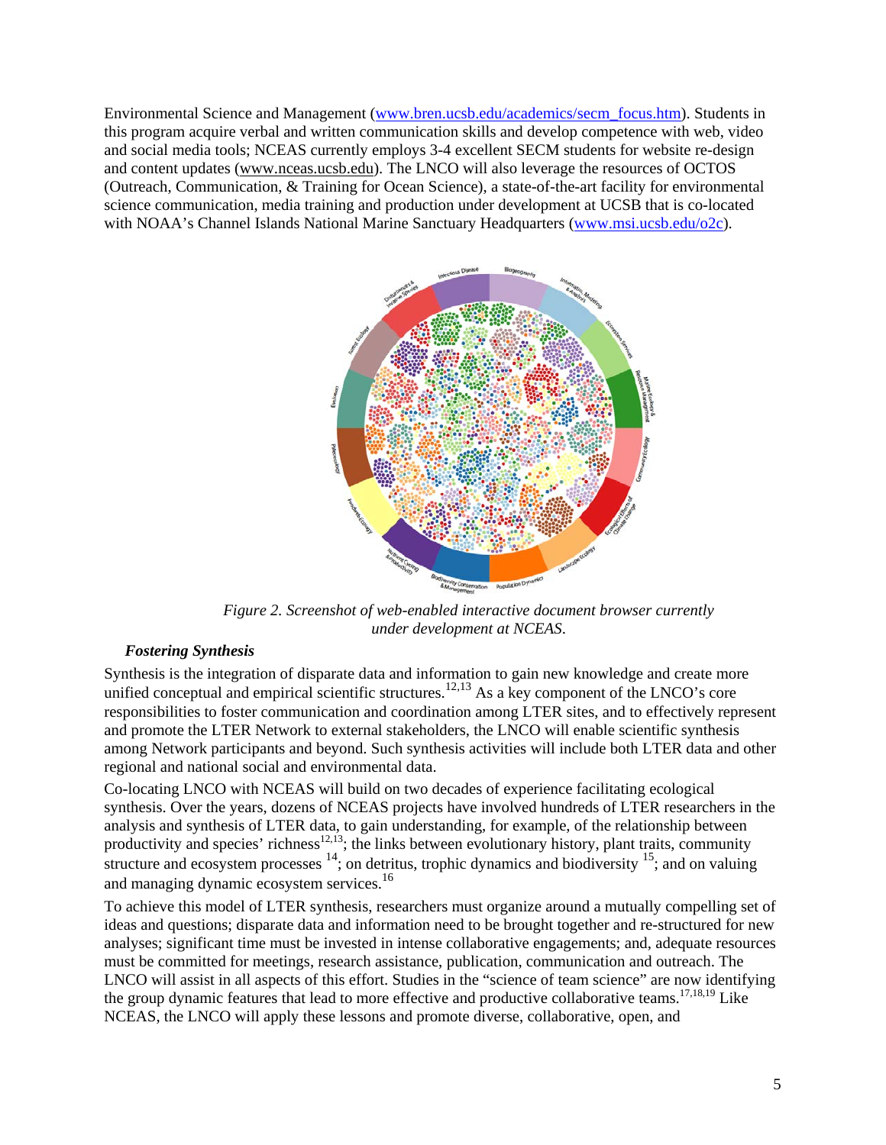Environmental Science and Management (www.bren.ucsb.edu/academics/secm\_focus.htm). Students in this program acquire verbal and written communication skills and develop competence with web, video and social media tools; NCEAS currently employs 3-4 excellent SECM students for website re-design and content updates (www.nceas.ucsb.edu). The LNCO will also leverage the resources of OCTOS (Outreach, Communication, & Training for Ocean Science), a state-of-the-art facility for environmental science communication, media training and production under development at UCSB that is co-located with NOAA's Channel Islands National Marine Sanctuary Headquarters (www.msi.ucsb.edu/o2c).



*Figure 2. Screenshot of web-enabled interactive document browser currently under development at NCEAS*.

## *Fostering Synthesis*

Synthesis is the integration of disparate data and information to gain new knowledge and create more unified conceptual and empirical scientific structures.<sup>12,13</sup> As a key component of the LNCO's core responsibilities to foster communication and coordination among LTER sites, and to effectively represent and promote the LTER Network to external stakeholders, the LNCO will enable scientific synthesis among Network participants and beyond. Such synthesis activities will include both LTER data and other regional and national social and environmental data.

Co-locating LNCO with NCEAS will build on two decades of experience facilitating ecological synthesis. Over the years, dozens of NCEAS projects have involved hundreds of LTER researchers in the analysis and synthesis of LTER data, to gain understanding, for example, of the relationship between productivity and species' richness<sup>12,13</sup>; the links between evolutionary history, plant traits, community structure and ecosystem processes  $14$ ; on detritus, trophic dynamics and biodiversity  $15$ ; and on valuing and managing dynamic ecosystem services.<sup>16</sup>

To achieve this model of LTER synthesis, researchers must organize around a mutually compelling set of ideas and questions; disparate data and information need to be brought together and re-structured for new analyses; significant time must be invested in intense collaborative engagements; and, adequate resources must be committed for meetings, research assistance, publication, communication and outreach. The LNCO will assist in all aspects of this effort. Studies in the "science of team science" are now identifying the group dynamic features that lead to more effective and productive collaborative teams.<sup>17,18,19</sup> Like NCEAS, the LNCO will apply these lessons and promote diverse, collaborative, open, and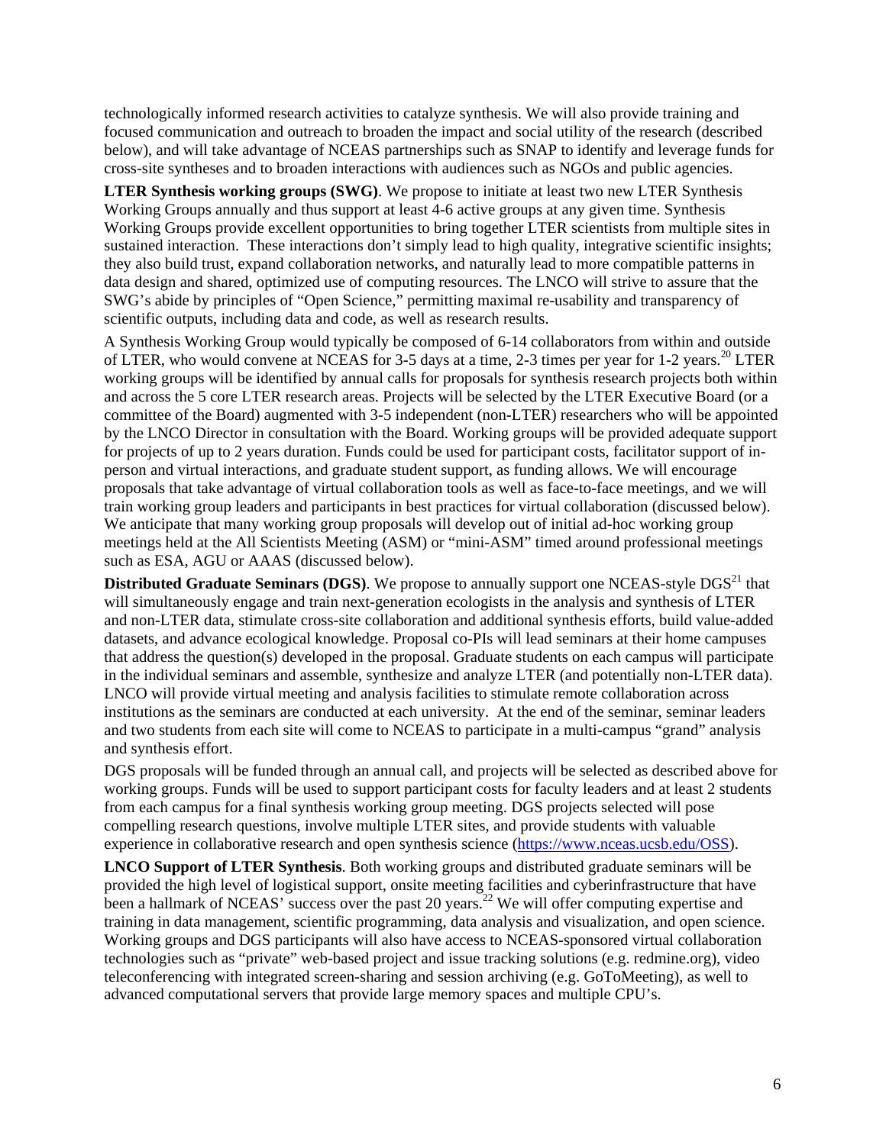technologically informed research activities to catalyze synthesis. We will also provide training and focused communication and outreach to broaden the impact and social utility of the research (described below), and will take advantage of NCEAS partnerships such as SNAP to identify and leverage funds for cross-site syntheses and to broaden interactions with audiences such as NGOs and public agencies.

**LTER Synthesis working groups (SWG)**. We propose to initiate at least two new LTER Synthesis Working Groups annually and thus support at least 4-6 active groups at any given time. Synthesis Working Groups provide excellent opportunities to bring together LTER scientists from multiple sites in sustained interaction. These interactions don't simply lead to high quality, integrative scientific insights; they also build trust, expand collaboration networks, and naturally lead to more compatible patterns in data design and shared, optimized use of computing resources. The LNCO will strive to assure that the SWG's abide by principles of "Open Science," permitting maximal re-usability and transparency of scientific outputs, including data and code, as well as research results.

A Synthesis Working Group would typically be composed of 6-14 collaborators from within and outside of LTER, who would convene at NCEAS for 3-5 days at a time, 2-3 times per year for 1-2 years.<sup>20</sup> LTER working groups will be identified by annual calls for proposals for synthesis research projects both within and across the 5 core LTER research areas. Projects will be selected by the LTER Executive Board (or a committee of the Board) augmented with 3-5 independent (non-LTER) researchers who will be appointed by the LNCO Director in consultation with the Board. Working groups will be provided adequate support for projects of up to 2 years duration. Funds could be used for participant costs, facilitator support of inperson and virtual interactions, and graduate student support, as funding allows. We will encourage proposals that take advantage of virtual collaboration tools as well as face-to-face meetings, and we will train working group leaders and participants in best practices for virtual collaboration (discussed below). We anticipate that many working group proposals will develop out of initial ad-hoc working group meetings held at the All Scientists Meeting (ASM) or "mini-ASM" timed around professional meetings such as ESA, AGU or AAAS (discussed below).

**Distributed Graduate Seminars (DGS).** We propose to annually support one NCEAS-style DGS<sup>21</sup> that will simultaneously engage and train next-generation ecologists in the analysis and synthesis of LTER and non-LTER data, stimulate cross-site collaboration and additional synthesis efforts, build value-added datasets, and advance ecological knowledge. Proposal co-PIs will lead seminars at their home campuses that address the question(s) developed in the proposal. Graduate students on each campus will participate in the individual seminars and assemble, synthesize and analyze LTER (and potentially non-LTER data). LNCO will provide virtual meeting and analysis facilities to stimulate remote collaboration across institutions as the seminars are conducted at each university. At the end of the seminar, seminar leaders and two students from each site will come to NCEAS to participate in a multi-campus "grand" analysis and synthesis effort.

DGS proposals will be funded through an annual call, and projects will be selected as described above for working groups. Funds will be used to support participant costs for faculty leaders and at least 2 students from each campus for a final synthesis working group meeting. DGS projects selected will pose compelling research questions, involve multiple LTER sites, and provide students with valuable experience in collaborative research and open synthesis science (https://www.nceas.ucsb.edu/OSS).

**LNCO Support of LTER Synthesis**. Both working groups and distributed graduate seminars will be provided the high level of logistical support, onsite meeting facilities and cyberinfrastructure that have been a hallmark of NCEAS' success over the past 20 years.<sup>22</sup> We will offer computing expertise and training in data management, scientific programming, data analysis and visualization, and open science. Working groups and DGS participants will also have access to NCEAS-sponsored virtual collaboration technologies such as "private" web-based project and issue tracking solutions (e.g. redmine.org), video teleconferencing with integrated screen-sharing and session archiving (e.g. GoToMeeting), as well to advanced computational servers that provide large memory spaces and multiple CPU's.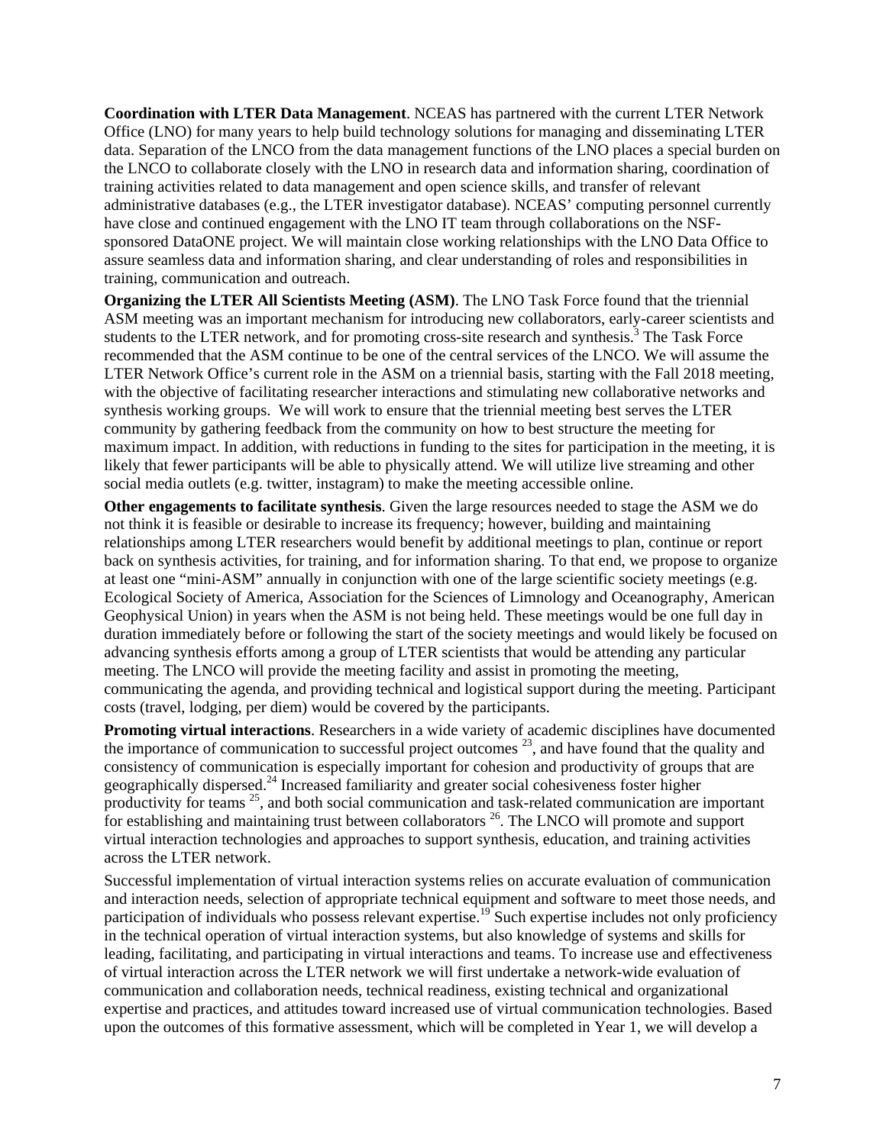**Coordination with LTER Data Management**. NCEAS has partnered with the current LTER Network Office (LNO) for many years to help build technology solutions for managing and disseminating LTER data. Separation of the LNCO from the data management functions of the LNO places a special burden on the LNCO to collaborate closely with the LNO in research data and information sharing, coordination of training activities related to data management and open science skills, and transfer of relevant administrative databases (e.g., the LTER investigator database). NCEAS' computing personnel currently have close and continued engagement with the LNO IT team through collaborations on the NSFsponsored DataONE project. We will maintain close working relationships with the LNO Data Office to assure seamless data and information sharing, and clear understanding of roles and responsibilities in training, communication and outreach.

**Organizing the LTER All Scientists Meeting (ASM)**. The LNO Task Force found that the triennial ASM meeting was an important mechanism for introducing new collaborators, early-career scientists and students to the LTER network, and for promoting cross-site research and synthesis.<sup>3</sup> The Task Force recommended that the ASM continue to be one of the central services of the LNCO. We will assume the LTER Network Office's current role in the ASM on a triennial basis, starting with the Fall 2018 meeting, with the objective of facilitating researcher interactions and stimulating new collaborative networks and synthesis working groups. We will work to ensure that the triennial meeting best serves the LTER community by gathering feedback from the community on how to best structure the meeting for maximum impact. In addition, with reductions in funding to the sites for participation in the meeting, it is likely that fewer participants will be able to physically attend. We will utilize live streaming and other social media outlets (e.g. twitter, instagram) to make the meeting accessible online.

**Other engagements to facilitate synthesis**. Given the large resources needed to stage the ASM we do not think it is feasible or desirable to increase its frequency; however, building and maintaining relationships among LTER researchers would benefit by additional meetings to plan, continue or report back on synthesis activities, for training, and for information sharing. To that end, we propose to organize at least one "mini-ASM" annually in conjunction with one of the large scientific society meetings (e.g. Ecological Society of America, Association for the Sciences of Limnology and Oceanography, American Geophysical Union) in years when the ASM is not being held. These meetings would be one full day in duration immediately before or following the start of the society meetings and would likely be focused on advancing synthesis efforts among a group of LTER scientists that would be attending any particular meeting. The LNCO will provide the meeting facility and assist in promoting the meeting, communicating the agenda, and providing technical and logistical support during the meeting. Participant costs (travel, lodging, per diem) would be covered by the participants.

**Promoting virtual interactions**. Researchers in a wide variety of academic disciplines have documented the importance of communication to successful project outcomes  $23$ , and have found that the quality and consistency of communication is especially important for cohesion and productivity of groups that are geographically dispersed. <sup>24</sup> Increased familiarity and greater social cohesiveness foster higher productivity for teams  $25$ , and both social communication and task-related communication are important for establishing and maintaining trust between collaborators  $26$ . The LNCO will promote and support virtual interaction technologies and approaches to support synthesis, education, and training activities across the LTER network.

Successful implementation of virtual interaction systems relies on accurate evaluation of communication and interaction needs, selection of appropriate technical equipment and software to meet those needs, and participation of individuals who possess relevant expertise.<sup>19</sup> Such expertise includes not only proficiency in the technical operation of virtual interaction systems, but also knowledge of systems and skills for leading, facilitating, and participating in virtual interactions and teams. To increase use and effectiveness of virtual interaction across the LTER network we will first undertake a network-wide evaluation of communication and collaboration needs, technical readiness, existing technical and organizational expertise and practices, and attitudes toward increased use of virtual communication technologies. Based upon the outcomes of this formative assessment, which will be completed in Year 1, we will develop a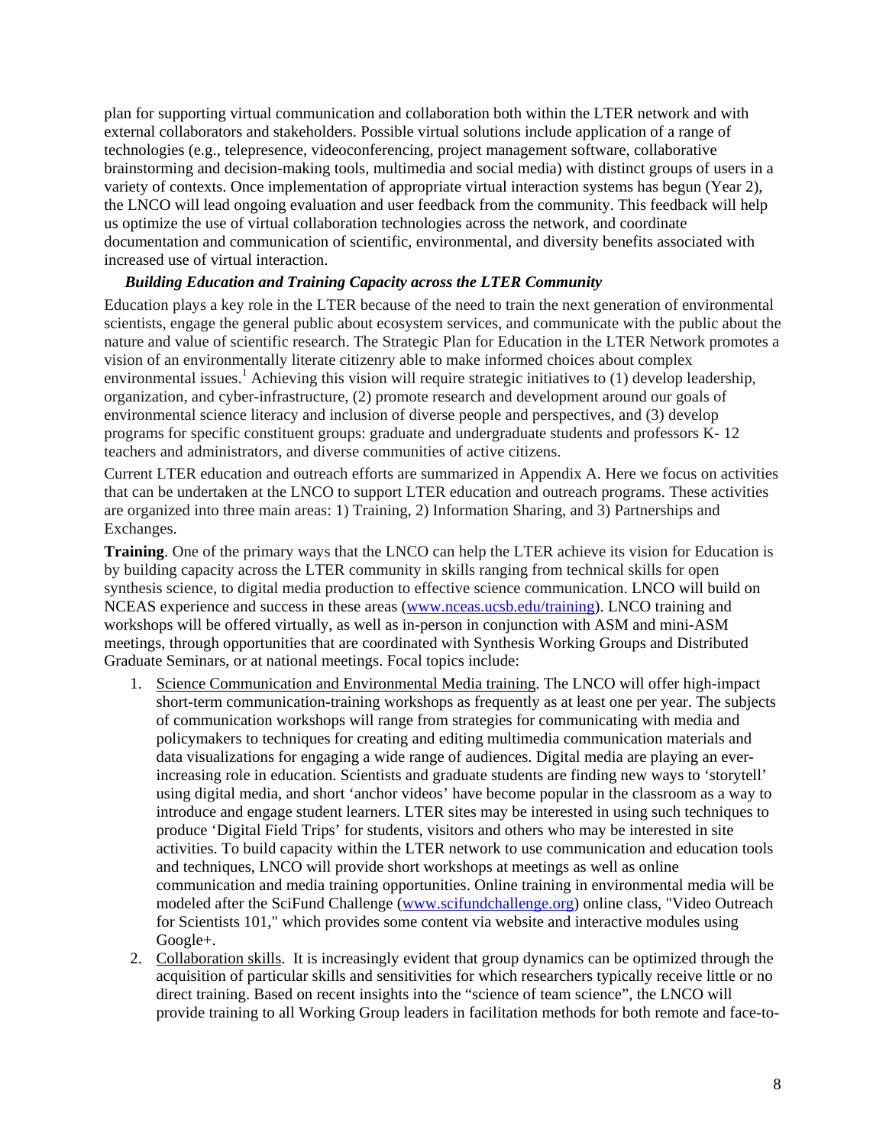plan for supporting virtual communication and collaboration both within the LTER network and with external collaborators and stakeholders. Possible virtual solutions include application of a range of technologies (e.g., telepresence, videoconferencing, project management software, collaborative brainstorming and decision-making tools, multimedia and social media) with distinct groups of users in a variety of contexts. Once implementation of appropriate virtual interaction systems has begun (Year 2), the LNCO will lead ongoing evaluation and user feedback from the community. This feedback will help us optimize the use of virtual collaboration technologies across the network, and coordinate documentation and communication of scientific, environmental, and diversity benefits associated with increased use of virtual interaction.

## *Building Education and Training Capacity across the LTER Community*

Education plays a key role in the LTER because of the need to train the next generation of environmental scientists, engage the general public about ecosystem services, and communicate with the public about the nature and value of scientific research. The Strategic Plan for Education in the LTER Network promotes a vision of an environmentally literate citizenry able to make informed choices about complex environmental issues.<sup>1</sup> Achieving this vision will require strategic initiatives to (1) develop leadership, organization, and cyber-infrastructure, (2) promote research and development around our goals of environmental science literacy and inclusion of diverse people and perspectives, and (3) develop programs for specific constituent groups: graduate and undergraduate students and professors K- 12 teachers and administrators, and diverse communities of active citizens.

Current LTER education and outreach efforts are summarized in Appendix A. Here we focus on activities that can be undertaken at the LNCO to support LTER education and outreach programs. These activities are organized into three main areas: 1) Training, 2) Information Sharing, and 3) Partnerships and Exchanges.

**Training**. One of the primary ways that the LNCO can help the LTER achieve its vision for Education is by building capacity across the LTER community in skills ranging from technical skills for open synthesis science, to digital media production to effective science communication. LNCO will build on NCEAS experience and success in these areas (www.nceas.ucsb.edu/training). LNCO training and workshops will be offered virtually, as well as in-person in conjunction with ASM and mini-ASM meetings, through opportunities that are coordinated with Synthesis Working Groups and Distributed Graduate Seminars, or at national meetings. Focal topics include:

- 1. Science Communication and Environmental Media training. The LNCO will offer high-impact short-term communication-training workshops as frequently as at least one per year. The subjects of communication workshops will range from strategies for communicating with media and policymakers to techniques for creating and editing multimedia communication materials and data visualizations for engaging a wide range of audiences. Digital media are playing an everincreasing role in education. Scientists and graduate students are finding new ways to 'storytell' using digital media, and short 'anchor videos' have become popular in the classroom as a way to introduce and engage student learners. LTER sites may be interested in using such techniques to produce 'Digital Field Trips' for students, visitors and others who may be interested in site activities. To build capacity within the LTER network to use communication and education tools and techniques, LNCO will provide short workshops at meetings as well as online communication and media training opportunities. Online training in environmental media will be modeled after the SciFund Challenge (www.scifundchallenge.org) online class, "Video Outreach for Scientists 101," which provides some content via website and interactive modules using Google+.
- 2. Collaboration skills. It is increasingly evident that group dynamics can be optimized through the acquisition of particular skills and sensitivities for which researchers typically receive little or no direct training. Based on recent insights into the "science of team science", the LNCO will provide training to all Working Group leaders in facilitation methods for both remote and face-to-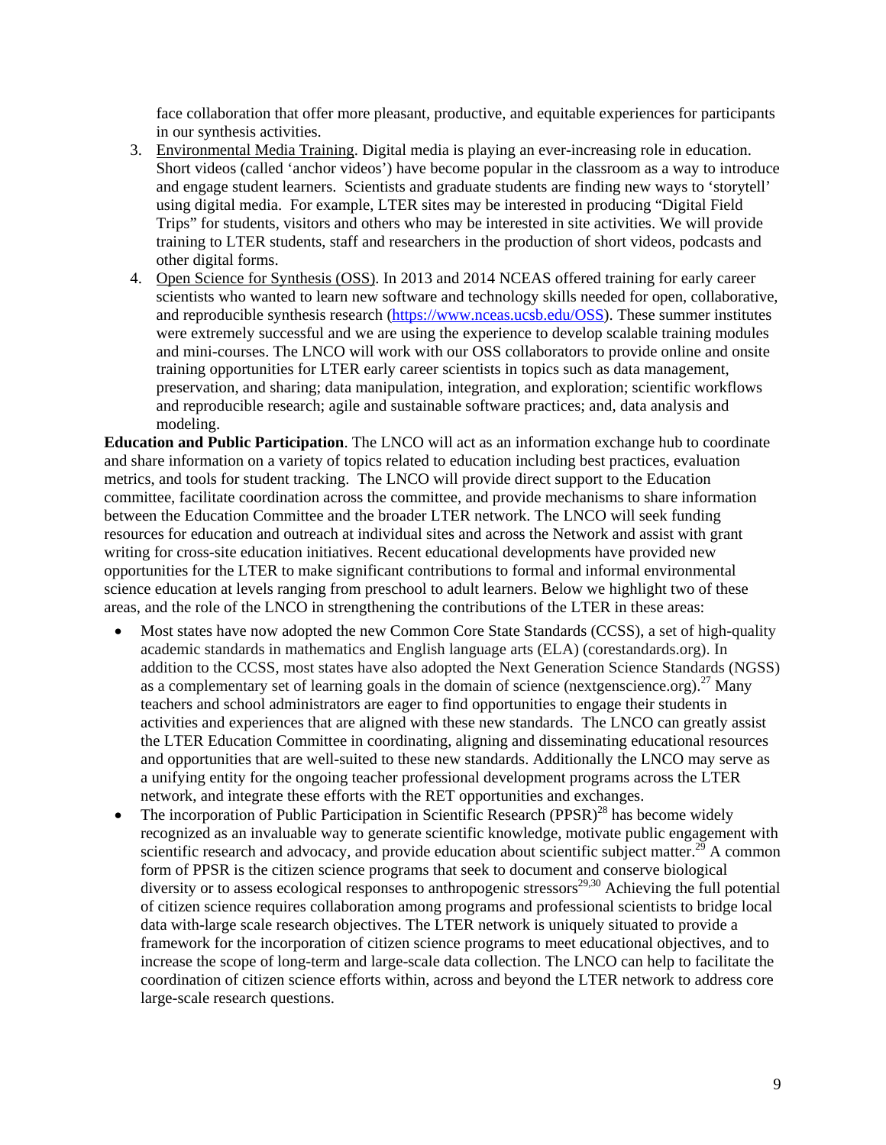face collaboration that offer more pleasant, productive, and equitable experiences for participants in our synthesis activities.

- 3. Environmental Media Training. Digital media is playing an ever-increasing role in education. Short videos (called 'anchor videos') have become popular in the classroom as a way to introduce and engage student learners. Scientists and graduate students are finding new ways to 'storytell' using digital media. For example, LTER sites may be interested in producing "Digital Field Trips" for students, visitors and others who may be interested in site activities. We will provide training to LTER students, staff and researchers in the production of short videos, podcasts and other digital forms.
- 4. Open Science for Synthesis (OSS). In 2013 and 2014 NCEAS offered training for early career scientists who wanted to learn new software and technology skills needed for open, collaborative, and reproducible synthesis research (https://www.nceas.ucsb.edu/OSS). These summer institutes were extremely successful and we are using the experience to develop scalable training modules and mini-courses. The LNCO will work with our OSS collaborators to provide online and onsite training opportunities for LTER early career scientists in topics such as data management, preservation, and sharing; data manipulation, integration, and exploration; scientific workflows and reproducible research; agile and sustainable software practices; and, data analysis and modeling.

**Education and Public Participation**. The LNCO will act as an information exchange hub to coordinate and share information on a variety of topics related to education including best practices, evaluation metrics, and tools for student tracking. The LNCO will provide direct support to the Education committee, facilitate coordination across the committee, and provide mechanisms to share information between the Education Committee and the broader LTER network. The LNCO will seek funding resources for education and outreach at individual sites and across the Network and assist with grant writing for cross-site education initiatives. Recent educational developments have provided new opportunities for the LTER to make significant contributions to formal and informal environmental science education at levels ranging from preschool to adult learners. Below we highlight two of these areas, and the role of the LNCO in strengthening the contributions of the LTER in these areas:

- Most states have now adopted the new Common Core State Standards (CCSS), a set of high-quality academic standards in mathematics and English language arts (ELA) (corestandards.org). In addition to the CCSS, most states have also adopted the Next Generation Science Standards (NGSS) as a complementary set of learning goals in the domain of science (nextgenscience.org).<sup>27</sup> Many teachers and school administrators are eager to find opportunities to engage their students in activities and experiences that are aligned with these new standards. The LNCO can greatly assist the LTER Education Committee in coordinating, aligning and disseminating educational resources and opportunities that are well-suited to these new standards. Additionally the LNCO may serve as a unifying entity for the ongoing teacher professional development programs across the LTER network, and integrate these efforts with the RET opportunities and exchanges.
- The incorporation of Public Participation in Scientific Research (PPSR)<sup>28</sup> has become widely recognized as an invaluable way to generate scientific knowledge, motivate public engagement with scientific research and advocacy, and provide education about scientific subject matter.<sup>29</sup> A common form of PPSR is the citizen science programs that seek to document and conserve biological diversity or to assess ecological responses to anthropogenic stressors<sup>29,30</sup> Achieving the full potential of citizen science requires collaboration among programs and professional scientists to bridge local data with-large scale research objectives. The LTER network is uniquely situated to provide a framework for the incorporation of citizen science programs to meet educational objectives, and to increase the scope of long-term and large-scale data collection. The LNCO can help to facilitate the coordination of citizen science efforts within, across and beyond the LTER network to address core large-scale research questions.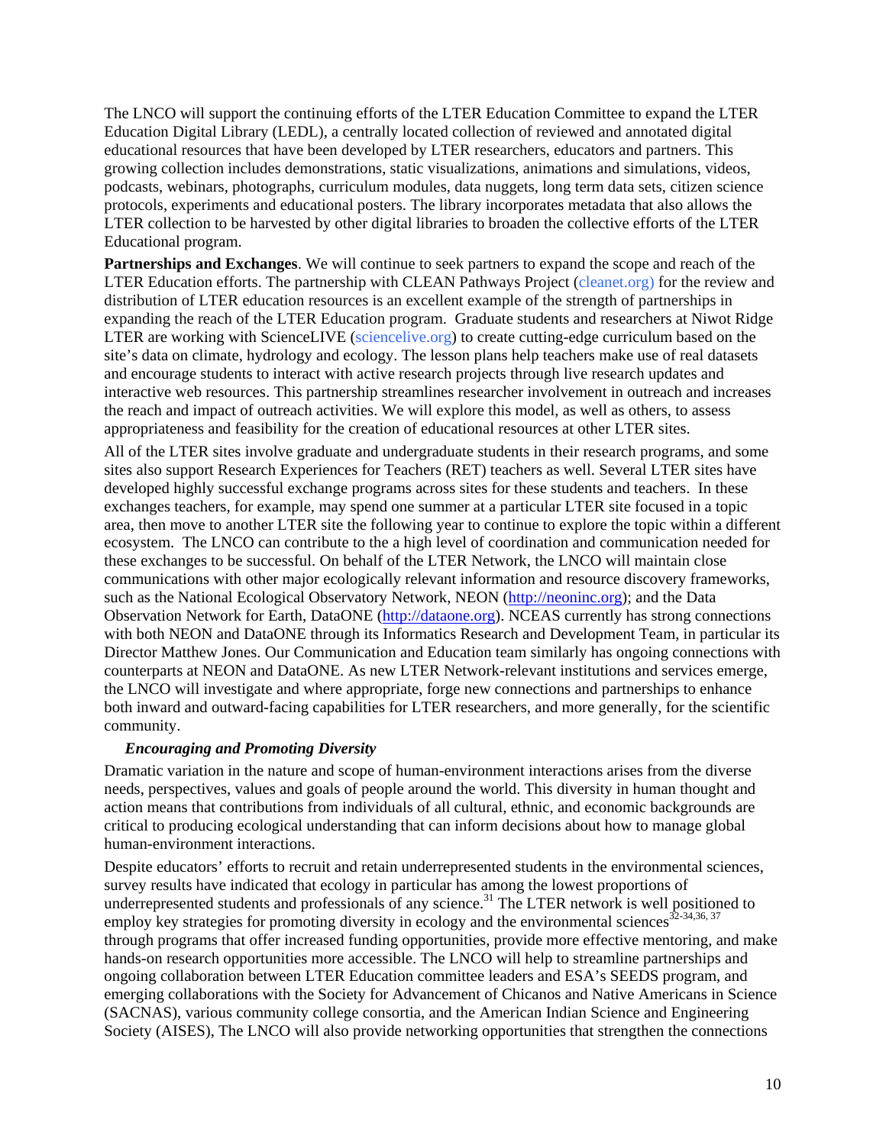The LNCO will support the continuing efforts of the LTER Education Committee to expand the LTER Education Digital Library (LEDL), a centrally located collection of reviewed and annotated digital educational resources that have been developed by LTER researchers, educators and partners. This growing collection includes demonstrations, static visualizations, animations and simulations, videos, podcasts, webinars, photographs, curriculum modules, data nuggets, long term data sets, citizen science protocols, experiments and educational posters. The library incorporates metadata that also allows the LTER collection to be harvested by other digital libraries to broaden the collective efforts of the LTER Educational program.

**Partnerships and Exchanges**. We will continue to seek partners to expand the scope and reach of the LTER Education efforts. The partnership with CLEAN Pathways Project (cleanet.org) for the review and distribution of LTER education resources is an excellent example of the strength of partnerships in expanding the reach of the LTER Education program. Graduate students and researchers at Niwot Ridge LTER are working with ScienceLIVE (sciencelive.org) to create cutting-edge curriculum based on the site's data on climate, hydrology and ecology. The lesson plans help teachers make use of real datasets and encourage students to interact with active research projects through live research updates and interactive web resources. This partnership streamlines researcher involvement in outreach and increases the reach and impact of outreach activities. We will explore this model, as well as others, to assess appropriateness and feasibility for the creation of educational resources at other LTER sites.

All of the LTER sites involve graduate and undergraduate students in their research programs, and some sites also support Research Experiences for Teachers (RET) teachers as well. Several LTER sites have developed highly successful exchange programs across sites for these students and teachers. In these exchanges teachers, for example, may spend one summer at a particular LTER site focused in a topic area, then move to another LTER site the following year to continue to explore the topic within a different ecosystem. The LNCO can contribute to the a high level of coordination and communication needed for these exchanges to be successful. On behalf of the LTER Network, the LNCO will maintain close communications with other major ecologically relevant information and resource discovery frameworks, such as the National Ecological Observatory Network, NEON (http://neoninc.org); and the Data Observation Network for Earth, DataONE (http://dataone.org). NCEAS currently has strong connections with both NEON and DataONE through its Informatics Research and Development Team, in particular its Director Matthew Jones. Our Communication and Education team similarly has ongoing connections with counterparts at NEON and DataONE. As new LTER Network-relevant institutions and services emerge, the LNCO will investigate and where appropriate, forge new connections and partnerships to enhance both inward and outward-facing capabilities for LTER researchers, and more generally, for the scientific community.

#### *Encouraging and Promoting Diversity*

Dramatic variation in the nature and scope of human-environment interactions arises from the diverse needs, perspectives, values and goals of people around the world. This diversity in human thought and action means that contributions from individuals of all cultural, ethnic, and economic backgrounds are critical to producing ecological understanding that can inform decisions about how to manage global human-environment interactions.

Despite educators' efforts to recruit and retain underrepresented students in the environmental sciences, survey results have indicated that ecology in particular has among the lowest proportions of underrepresented students and professionals of any science.<sup>31</sup> The LTER network is well positioned to employ key strategies for promoting diversity in ecology and the environmental sciences<sup>32-34,36, 37</sup> through programs that offer increased funding opportunities, provide more effective mentoring, and make hands-on research opportunities more accessible. The LNCO will help to streamline partnerships and ongoing collaboration between LTER Education committee leaders and ESA's SEEDS program, and emerging collaborations with the Society for Advancement of Chicanos and Native Americans in Science (SACNAS), various community college consortia, and the American Indian Science and Engineering Society (AISES), The LNCO will also provide networking opportunities that strengthen the connections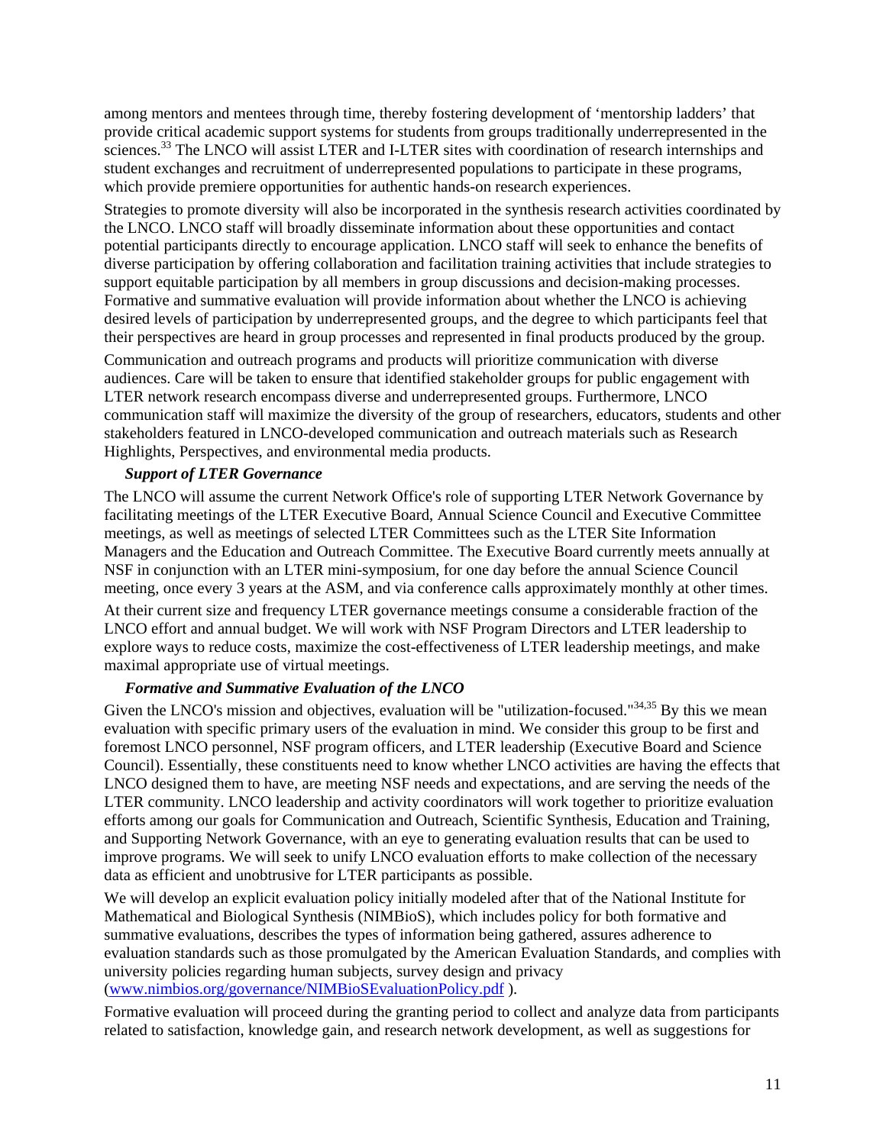among mentors and mentees through time, thereby fostering development of 'mentorship ladders' that provide critical academic support systems for students from groups traditionally underrepresented in the sciences.<sup>33</sup> The LNCO will assist LTER and I-LTER sites with coordination of research internships and student exchanges and recruitment of underrepresented populations to participate in these programs, which provide premiere opportunities for authentic hands-on research experiences.

Strategies to promote diversity will also be incorporated in the synthesis research activities coordinated by the LNCO. LNCO staff will broadly disseminate information about these opportunities and contact potential participants directly to encourage application. LNCO staff will seek to enhance the benefits of diverse participation by offering collaboration and facilitation training activities that include strategies to support equitable participation by all members in group discussions and decision-making processes. Formative and summative evaluation will provide information about whether the LNCO is achieving desired levels of participation by underrepresented groups, and the degree to which participants feel that their perspectives are heard in group processes and represented in final products produced by the group.

Communication and outreach programs and products will prioritize communication with diverse audiences. Care will be taken to ensure that identified stakeholder groups for public engagement with LTER network research encompass diverse and underrepresented groups. Furthermore, LNCO communication staff will maximize the diversity of the group of researchers, educators, students and other stakeholders featured in LNCO-developed communication and outreach materials such as Research Highlights, Perspectives, and environmental media products.

#### *Support of LTER Governance*

The LNCO will assume the current Network Office's role of supporting LTER Network Governance by facilitating meetings of the LTER Executive Board, Annual Science Council and Executive Committee meetings, as well as meetings of selected LTER Committees such as the LTER Site Information Managers and the Education and Outreach Committee. The Executive Board currently meets annually at NSF in conjunction with an LTER mini-symposium, for one day before the annual Science Council meeting, once every 3 years at the ASM, and via conference calls approximately monthly at other times.

At their current size and frequency LTER governance meetings consume a considerable fraction of the LNCO effort and annual budget. We will work with NSF Program Directors and LTER leadership to explore ways to reduce costs, maximize the cost-effectiveness of LTER leadership meetings, and make maximal appropriate use of virtual meetings.

#### *Formative and Summative Evaluation of the LNCO*

Given the LNCO's mission and objectives, evaluation will be "utilization-focused." $34,35$  By this we mean evaluation with specific primary users of the evaluation in mind. We consider this group to be first and foremost LNCO personnel, NSF program officers, and LTER leadership (Executive Board and Science Council). Essentially, these constituents need to know whether LNCO activities are having the effects that LNCO designed them to have, are meeting NSF needs and expectations, and are serving the needs of the LTER community. LNCO leadership and activity coordinators will work together to prioritize evaluation efforts among our goals for Communication and Outreach, Scientific Synthesis, Education and Training, and Supporting Network Governance, with an eye to generating evaluation results that can be used to improve programs. We will seek to unify LNCO evaluation efforts to make collection of the necessary data as efficient and unobtrusive for LTER participants as possible.

We will develop an explicit evaluation policy initially modeled after that of the National Institute for Mathematical and Biological Synthesis (NIMBioS), which includes policy for both formative and summative evaluations, describes the types of information being gathered, assures adherence to evaluation standards such as those promulgated by the American Evaluation Standards, and complies with university policies regarding human subjects, survey design and privacy (www.nimbios.org/governance/NIMBioSEvaluationPolicy.pdf ).

Formative evaluation will proceed during the granting period to collect and analyze data from participants related to satisfaction, knowledge gain, and research network development, as well as suggestions for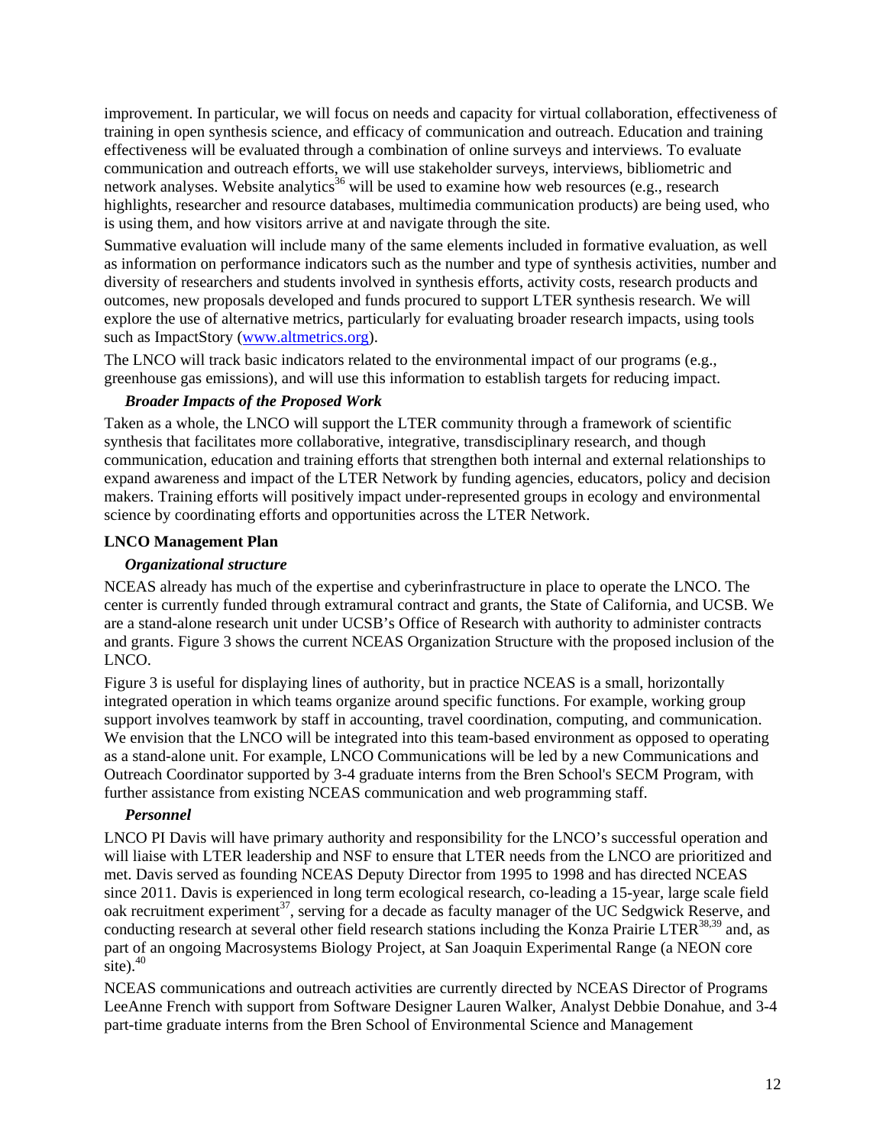improvement. In particular, we will focus on needs and capacity for virtual collaboration, effectiveness of training in open synthesis science, and efficacy of communication and outreach. Education and training effectiveness will be evaluated through a combination of online surveys and interviews. To evaluate communication and outreach efforts, we will use stakeholder surveys, interviews, bibliometric and network analyses. Website analytics<sup>36</sup> will be used to examine how web resources (e.g., research highlights, researcher and resource databases, multimedia communication products) are being used, who is using them, and how visitors arrive at and navigate through the site.

Summative evaluation will include many of the same elements included in formative evaluation, as well as information on performance indicators such as the number and type of synthesis activities, number and diversity of researchers and students involved in synthesis efforts, activity costs, research products and outcomes, new proposals developed and funds procured to support LTER synthesis research. We will explore the use of alternative metrics, particularly for evaluating broader research impacts, using tools such as ImpactStory (www.altmetrics.org).

The LNCO will track basic indicators related to the environmental impact of our programs (e.g., greenhouse gas emissions), and will use this information to establish targets for reducing impact.

## *Broader Impacts of the Proposed Work*

Taken as a whole, the LNCO will support the LTER community through a framework of scientific synthesis that facilitates more collaborative, integrative, transdisciplinary research, and though communication, education and training efforts that strengthen both internal and external relationships to expand awareness and impact of the LTER Network by funding agencies, educators, policy and decision makers. Training efforts will positively impact under-represented groups in ecology and environmental science by coordinating efforts and opportunities across the LTER Network.

#### **LNCO Management Plan**

### *Organizational structure*

NCEAS already has much of the expertise and cyberinfrastructure in place to operate the LNCO. The center is currently funded through extramural contract and grants, the State of California, and UCSB. We are a stand-alone research unit under UCSB's Office of Research with authority to administer contracts and grants. Figure 3 shows the current NCEAS Organization Structure with the proposed inclusion of the LNCO.

Figure 3 is useful for displaying lines of authority, but in practice NCEAS is a small, horizontally integrated operation in which teams organize around specific functions. For example, working group support involves teamwork by staff in accounting, travel coordination, computing, and communication. We envision that the LNCO will be integrated into this team-based environment as opposed to operating as a stand-alone unit. For example, LNCO Communications will be led by a new Communications and Outreach Coordinator supported by 3-4 graduate interns from the Bren School's SECM Program, with further assistance from existing NCEAS communication and web programming staff.

## *Personnel*

LNCO PI Davis will have primary authority and responsibility for the LNCO's successful operation and will liaise with LTER leadership and NSF to ensure that LTER needs from the LNCO are prioritized and met. Davis served as founding NCEAS Deputy Director from 1995 to 1998 and has directed NCEAS since 2011. Davis is experienced in long term ecological research, co-leading a 15-year, large scale field oak recruitment experiment<sup>37</sup>, serving for a decade as faculty manager of the UC Sedgwick Reserve, and conducting research at several other field research stations including the Konza Prairie LTER<sup>38,39</sup> and, as part of an ongoing Macrosystems Biology Project, at San Joaquin Experimental Range (a NEON core site). $40$ 

NCEAS communications and outreach activities are currently directed by NCEAS Director of Programs LeeAnne French with support from Software Designer Lauren Walker, Analyst Debbie Donahue, and 3-4 part-time graduate interns from the Bren School of Environmental Science and Management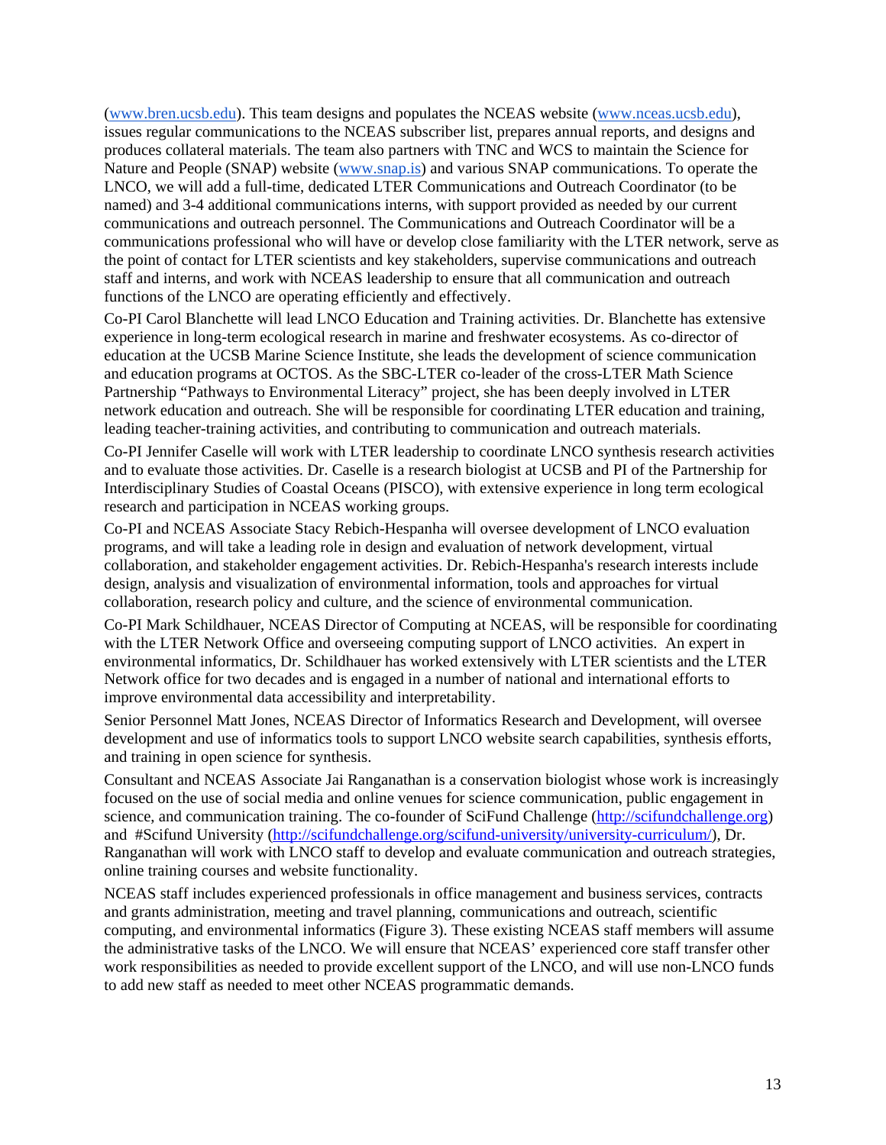(www.bren.ucsb.edu). This team designs and populates the NCEAS website (www.nceas.ucsb.edu), issues regular communications to the NCEAS subscriber list, prepares annual reports, and designs and produces collateral materials. The team also partners with TNC and WCS to maintain the Science for Nature and People (SNAP) website (www.snap.is) and various SNAP communications. To operate the LNCO, we will add a full-time, dedicated LTER Communications and Outreach Coordinator (to be named) and 3-4 additional communications interns, with support provided as needed by our current communications and outreach personnel. The Communications and Outreach Coordinator will be a communications professional who will have or develop close familiarity with the LTER network, serve as the point of contact for LTER scientists and key stakeholders, supervise communications and outreach staff and interns, and work with NCEAS leadership to ensure that all communication and outreach functions of the LNCO are operating efficiently and effectively.

Co-PI Carol Blanchette will lead LNCO Education and Training activities. Dr. Blanchette has extensive experience in long-term ecological research in marine and freshwater ecosystems. As co-director of education at the UCSB Marine Science Institute, she leads the development of science communication and education programs at OCTOS. As the SBC-LTER co-leader of the cross-LTER Math Science Partnership "Pathways to Environmental Literacy" project, she has been deeply involved in LTER network education and outreach. She will be responsible for coordinating LTER education and training, leading teacher-training activities, and contributing to communication and outreach materials.

Co-PI Jennifer Caselle will work with LTER leadership to coordinate LNCO synthesis research activities and to evaluate those activities. Dr. Caselle is a research biologist at UCSB and PI of the Partnership for Interdisciplinary Studies of Coastal Oceans (PISCO), with extensive experience in long term ecological research and participation in NCEAS working groups.

Co-PI and NCEAS Associate Stacy Rebich-Hespanha will oversee development of LNCO evaluation programs, and will take a leading role in design and evaluation of network development, virtual collaboration, and stakeholder engagement activities. Dr. Rebich-Hespanha's research interests include design, analysis and visualization of environmental information, tools and approaches for virtual collaboration, research policy and culture, and the science of environmental communication.

Co-PI Mark Schildhauer, NCEAS Director of Computing at NCEAS, will be responsible for coordinating with the LTER Network Office and overseeing computing support of LNCO activities. An expert in environmental informatics, Dr. Schildhauer has worked extensively with LTER scientists and the LTER Network office for two decades and is engaged in a number of national and international efforts to improve environmental data accessibility and interpretability.

Senior Personnel Matt Jones, NCEAS Director of Informatics Research and Development, will oversee development and use of informatics tools to support LNCO website search capabilities, synthesis efforts, and training in open science for synthesis.

Consultant and NCEAS Associate Jai Ranganathan is a conservation biologist whose work is increasingly focused on the use of social media and online venues for science communication, public engagement in science, and communication training. The co-founder of SciFund Challenge (http://scifundchallenge.org) and #Scifund University (http://scifundchallenge.org/scifund-university/university-curriculum/), Dr. Ranganathan will work with LNCO staff to develop and evaluate communication and outreach strategies, online training courses and website functionality.

NCEAS staff includes experienced professionals in office management and business services, contracts and grants administration, meeting and travel planning, communications and outreach, scientific computing, and environmental informatics (Figure 3). These existing NCEAS staff members will assume the administrative tasks of the LNCO. We will ensure that NCEAS' experienced core staff transfer other work responsibilities as needed to provide excellent support of the LNCO, and will use non-LNCO funds to add new staff as needed to meet other NCEAS programmatic demands.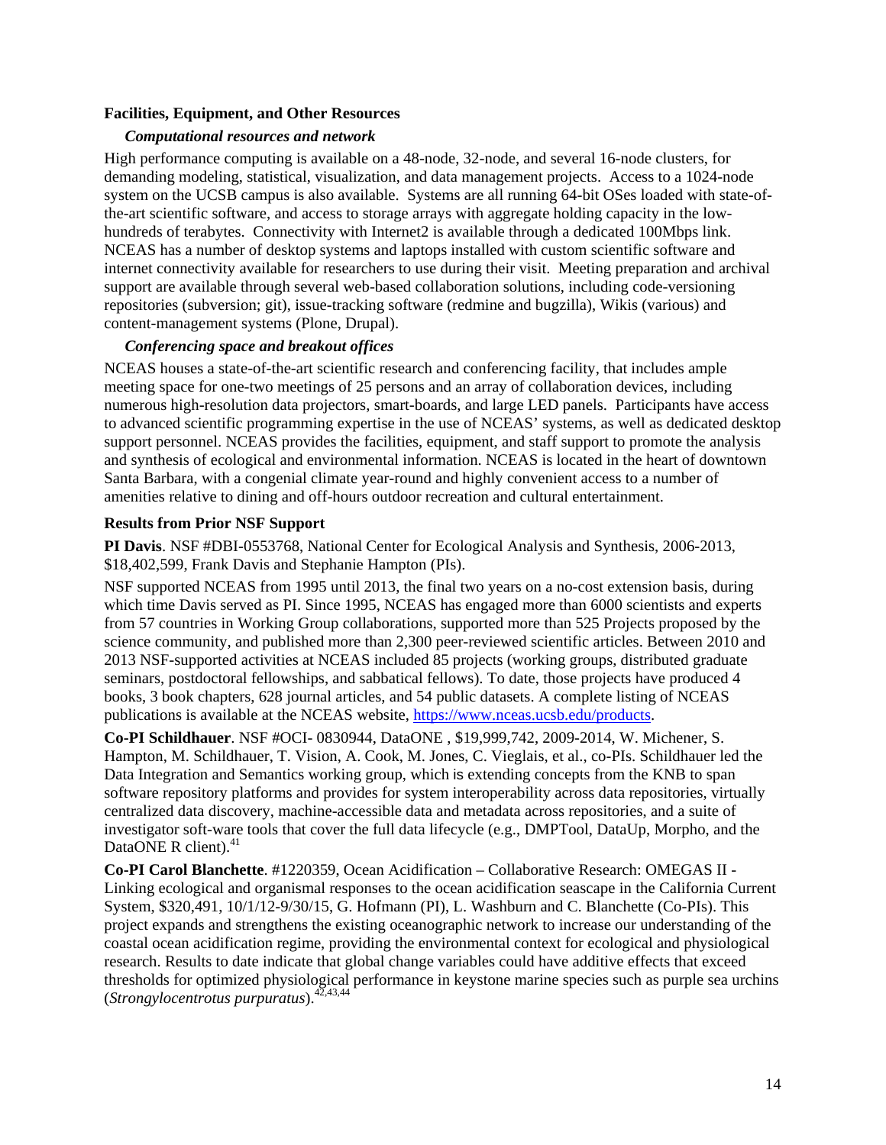#### **Facilities, Equipment, and Other Resources**

#### *Computational resources and network*

High performance computing is available on a 48-node, 32-node, and several 16-node clusters, for demanding modeling, statistical, visualization, and data management projects. Access to a 1024-node system on the UCSB campus is also available. Systems are all running 64-bit OSes loaded with state-ofthe-art scientific software, and access to storage arrays with aggregate holding capacity in the lowhundreds of terabytes. Connectivity with Internet2 is available through a dedicated 100Mbps link. NCEAS has a number of desktop systems and laptops installed with custom scientific software and internet connectivity available for researchers to use during their visit. Meeting preparation and archival support are available through several web-based collaboration solutions, including code-versioning repositories (subversion; git), issue-tracking software (redmine and bugzilla), Wikis (various) and content-management systems (Plone, Drupal).

#### *Conferencing space and breakout offices*

NCEAS houses a state-of-the-art scientific research and conferencing facility, that includes ample meeting space for one-two meetings of 25 persons and an array of collaboration devices, including numerous high-resolution data projectors, smart-boards, and large LED panels. Participants have access to advanced scientific programming expertise in the use of NCEAS' systems, as well as dedicated desktop support personnel. NCEAS provides the facilities, equipment, and staff support to promote the analysis and synthesis of ecological and environmental information. NCEAS is located in the heart of downtown Santa Barbara, with a congenial climate year-round and highly convenient access to a number of amenities relative to dining and off-hours outdoor recreation and cultural entertainment.

## **Results from Prior NSF Support**

**PI Davis**. NSF #DBI-0553768, National Center for Ecological Analysis and Synthesis, 2006-2013, \$18,402,599, Frank Davis and Stephanie Hampton (PIs).

NSF supported NCEAS from 1995 until 2013, the final two years on a no-cost extension basis, during which time Davis served as PI. Since 1995, NCEAS has engaged more than 6000 scientists and experts from 57 countries in Working Group collaborations, supported more than 525 Projects proposed by the science community, and published more than 2,300 peer-reviewed scientific articles. Between 2010 and 2013 NSF-supported activities at NCEAS included 85 projects (working groups, distributed graduate seminars, postdoctoral fellowships, and sabbatical fellows). To date, those projects have produced 4 books, 3 book chapters, 628 journal articles, and 54 public datasets. A complete listing of NCEAS publications is available at the NCEAS website, https://www.nceas.ucsb.edu/products.

**Co-PI Schildhauer**. NSF #OCI- 0830944, DataONE , \$19,999,742, 2009-2014, W. Michener, S. Hampton, M. Schildhauer, T. Vision, A. Cook, M. Jones, C. Vieglais, et al., co-PIs. Schildhauer led the Data Integration and Semantics working group, which is extending concepts from the KNB to span software repository platforms and provides for system interoperability across data repositories, virtually centralized data discovery, machine-accessible data and metadata across repositories, and a suite of investigator soft-ware tools that cover the full data lifecycle (e.g., DMPTool, DataUp, Morpho, and the DataONE R client).<sup>41</sup>

**Co-PI Carol Blanchette**. #1220359, Ocean Acidification – Collaborative Research: OMEGAS II - Linking ecological and organismal responses to the ocean acidification seascape in the California Current System, \$320,491, 10/1/12-9/30/15, G. Hofmann (PI), L. Washburn and C. Blanchette (Co-PIs). This project expands and strengthens the existing oceanographic network to increase our understanding of the coastal ocean acidification regime, providing the environmental context for ecological and physiological research. Results to date indicate that global change variables could have additive effects that exceed thresholds for optimized physiological performance in keystone marine species such as purple sea urchins (*Strongylocentrotus purpuratus*).42,43,44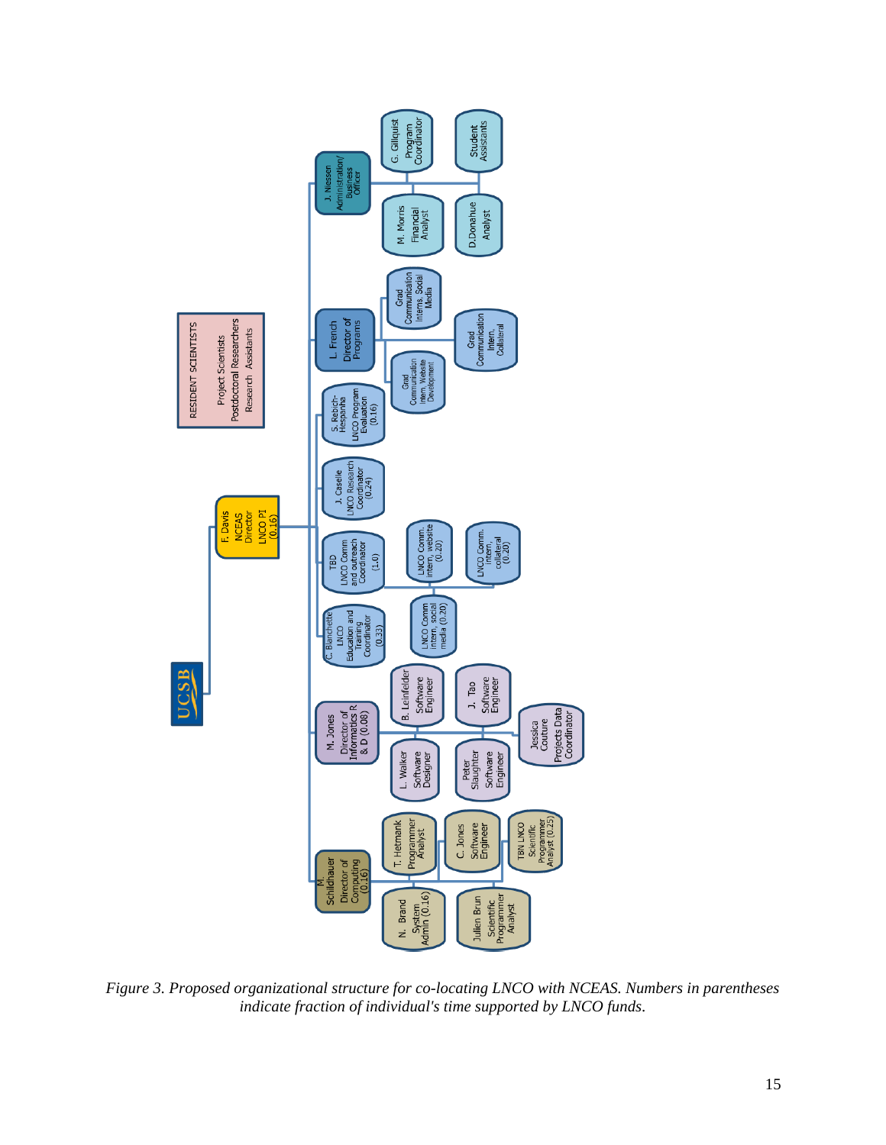

*Figure 3. Proposed organizational structure for co-locating LNCO with NCEAS. Numbers in parentheses indicate fraction of individual's time supported by LNCO funds*.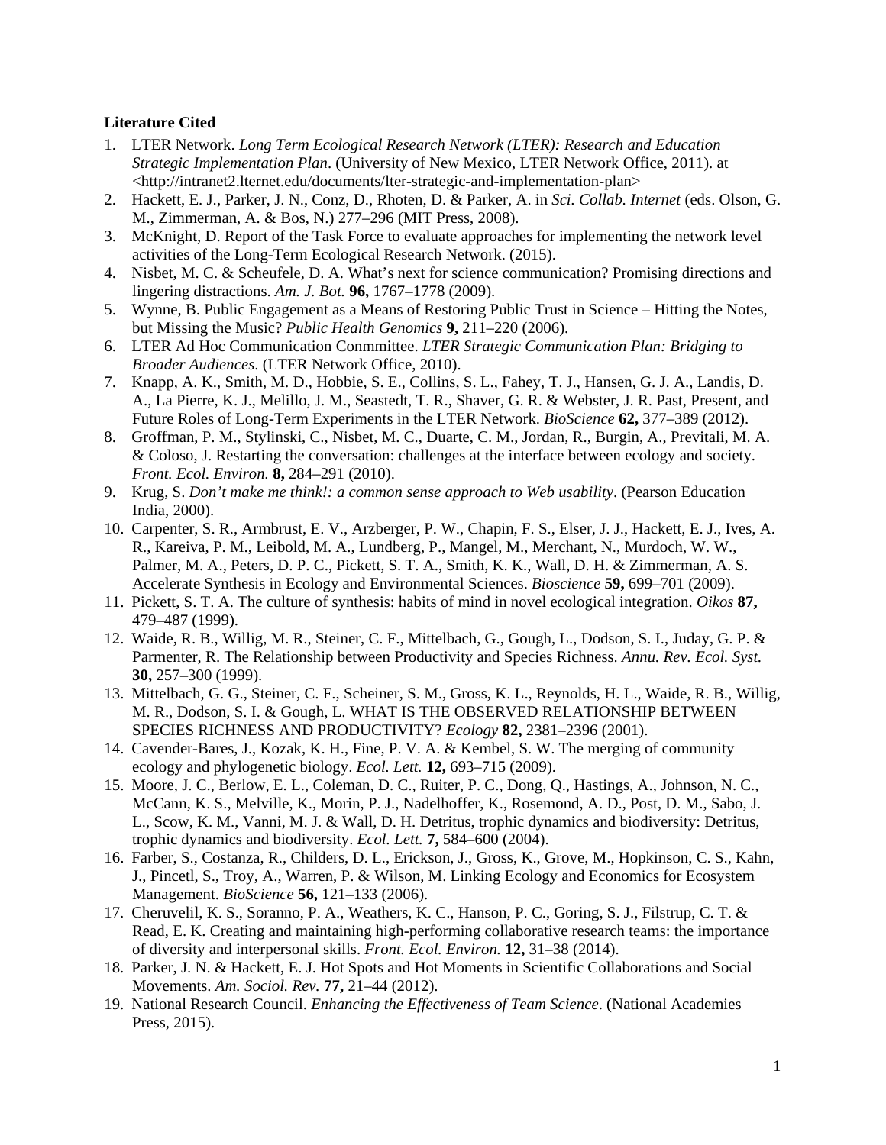#### **Literature Cited**

- 1. LTER Network. *Long Term Ecological Research Network (LTER): Research and Education Strategic Implementation Plan*. (University of New Mexico, LTER Network Office, 2011). at <http://intranet2.lternet.edu/documents/lter-strategic-and-implementation-plan>
- 2. Hackett, E. J., Parker, J. N., Conz, D., Rhoten, D. & Parker, A. in *Sci. Collab. Internet* (eds. Olson, G. M., Zimmerman, A. & Bos, N.) 277–296 (MIT Press, 2008).
- 3. McKnight, D. Report of the Task Force to evaluate approaches for implementing the network level activities of the Long-Term Ecological Research Network. (2015).
- 4. Nisbet, M. C. & Scheufele, D. A. What's next for science communication? Promising directions and lingering distractions. *Am. J. Bot.* **96,** 1767–1778 (2009).
- 5. Wynne, B. Public Engagement as a Means of Restoring Public Trust in Science Hitting the Notes, but Missing the Music? *Public Health Genomics* **9,** 211–220 (2006).
- 6. LTER Ad Hoc Communication Conmmittee. *LTER Strategic Communication Plan: Bridging to Broader Audiences*. (LTER Network Office, 2010).
- 7. Knapp, A. K., Smith, M. D., Hobbie, S. E., Collins, S. L., Fahey, T. J., Hansen, G. J. A., Landis, D. A., La Pierre, K. J., Melillo, J. M., Seastedt, T. R., Shaver, G. R. & Webster, J. R. Past, Present, and Future Roles of Long-Term Experiments in the LTER Network. *BioScience* **62,** 377–389 (2012).
- 8. Groffman, P. M., Stylinski, C., Nisbet, M. C., Duarte, C. M., Jordan, R., Burgin, A., Previtali, M. A. & Coloso, J. Restarting the conversation: challenges at the interface between ecology and society. *Front. Ecol. Environ.* **8,** 284–291 (2010).
- 9. Krug, S. *Don't make me think!: a common sense approach to Web usability*. (Pearson Education India, 2000).
- 10. Carpenter, S. R., Armbrust, E. V., Arzberger, P. W., Chapin, F. S., Elser, J. J., Hackett, E. J., Ives, A. R., Kareiva, P. M., Leibold, M. A., Lundberg, P., Mangel, M., Merchant, N., Murdoch, W. W., Palmer, M. A., Peters, D. P. C., Pickett, S. T. A., Smith, K. K., Wall, D. H. & Zimmerman, A. S. Accelerate Synthesis in Ecology and Environmental Sciences. *Bioscience* **59,** 699–701 (2009).
- 11. Pickett, S. T. A. The culture of synthesis: habits of mind in novel ecological integration. *Oikos* **87,** 479–487 (1999).
- 12. Waide, R. B., Willig, M. R., Steiner, C. F., Mittelbach, G., Gough, L., Dodson, S. I., Juday, G. P. & Parmenter, R. The Relationship between Productivity and Species Richness. *Annu. Rev. Ecol. Syst.* **30,** 257–300 (1999).
- 13. Mittelbach, G. G., Steiner, C. F., Scheiner, S. M., Gross, K. L., Reynolds, H. L., Waide, R. B., Willig, M. R., Dodson, S. I. & Gough, L. WHAT IS THE OBSERVED RELATIONSHIP BETWEEN SPECIES RICHNESS AND PRODUCTIVITY? *Ecology* **82,** 2381–2396 (2001).
- 14. Cavender-Bares, J., Kozak, K. H., Fine, P. V. A. & Kembel, S. W. The merging of community ecology and phylogenetic biology. *Ecol. Lett.* **12,** 693–715 (2009).
- 15. Moore, J. C., Berlow, E. L., Coleman, D. C., Ruiter, P. C., Dong, Q., Hastings, A., Johnson, N. C., McCann, K. S., Melville, K., Morin, P. J., Nadelhoffer, K., Rosemond, A. D., Post, D. M., Sabo, J. L., Scow, K. M., Vanni, M. J. & Wall, D. H. Detritus, trophic dynamics and biodiversity: Detritus, trophic dynamics and biodiversity. *Ecol. Lett.* **7,** 584–600 (2004).
- 16. Farber, S., Costanza, R., Childers, D. L., Erickson, J., Gross, K., Grove, M., Hopkinson, C. S., Kahn, J., Pincetl, S., Troy, A., Warren, P. & Wilson, M. Linking Ecology and Economics for Ecosystem Management. *BioScience* **56,** 121–133 (2006).
- 17. Cheruvelil, K. S., Soranno, P. A., Weathers, K. C., Hanson, P. C., Goring, S. J., Filstrup, C. T. & Read, E. K. Creating and maintaining high-performing collaborative research teams: the importance of diversity and interpersonal skills. *Front. Ecol. Environ.* **12,** 31–38 (2014).
- 18. Parker, J. N. & Hackett, E. J. Hot Spots and Hot Moments in Scientific Collaborations and Social Movements. *Am. Sociol. Rev.* **77,** 21–44 (2012).
- 19. National Research Council. *Enhancing the Effectiveness of Team Science*. (National Academies Press, 2015).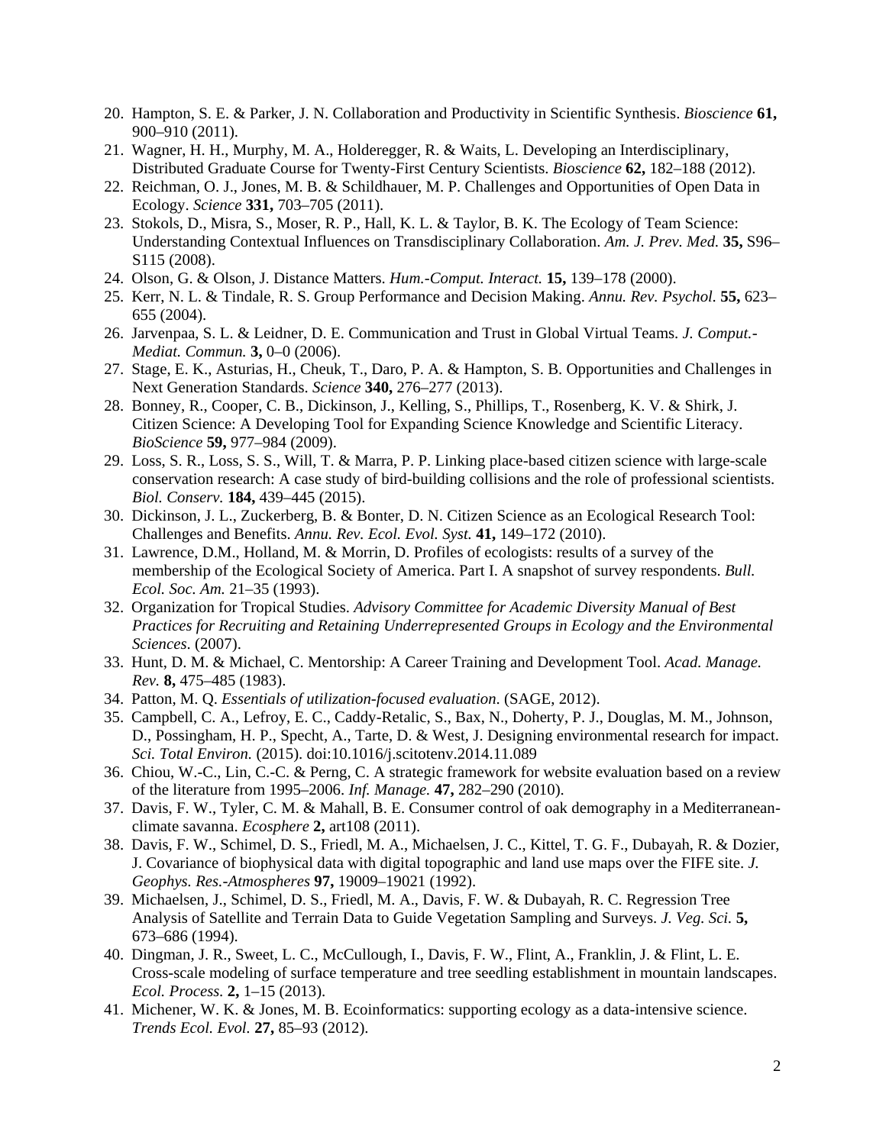- 20. Hampton, S. E. & Parker, J. N. Collaboration and Productivity in Scientific Synthesis. *Bioscience* **61,** 900–910 (2011).
- 21. Wagner, H. H., Murphy, M. A., Holderegger, R. & Waits, L. Developing an Interdisciplinary, Distributed Graduate Course for Twenty-First Century Scientists. *Bioscience* **62,** 182–188 (2012).
- 22. Reichman, O. J., Jones, M. B. & Schildhauer, M. P. Challenges and Opportunities of Open Data in Ecology. *Science* **331,** 703–705 (2011).
- 23. Stokols, D., Misra, S., Moser, R. P., Hall, K. L. & Taylor, B. K. The Ecology of Team Science: Understanding Contextual Influences on Transdisciplinary Collaboration. *Am. J. Prev. Med.* **35,** S96– S115 (2008).
- 24. Olson, G. & Olson, J. Distance Matters. *Hum.-Comput. Interact.* **15,** 139–178 (2000).
- 25. Kerr, N. L. & Tindale, R. S. Group Performance and Decision Making. *Annu. Rev. Psychol.* **55,** 623– 655 (2004).
- 26. Jarvenpaa, S. L. & Leidner, D. E. Communication and Trust in Global Virtual Teams. *J. Comput.- Mediat. Commun.* **3,** 0–0 (2006).
- 27. Stage, E. K., Asturias, H., Cheuk, T., Daro, P. A. & Hampton, S. B. Opportunities and Challenges in Next Generation Standards. *Science* **340,** 276–277 (2013).
- 28. Bonney, R., Cooper, C. B., Dickinson, J., Kelling, S., Phillips, T., Rosenberg, K. V. & Shirk, J. Citizen Science: A Developing Tool for Expanding Science Knowledge and Scientific Literacy. *BioScience* **59,** 977–984 (2009).
- 29. Loss, S. R., Loss, S. S., Will, T. & Marra, P. P. Linking place-based citizen science with large-scale conservation research: A case study of bird-building collisions and the role of professional scientists. *Biol. Conserv.* **184,** 439–445 (2015).
- 30. Dickinson, J. L., Zuckerberg, B. & Bonter, D. N. Citizen Science as an Ecological Research Tool: Challenges and Benefits. *Annu. Rev. Ecol. Evol. Syst.* **41,** 149–172 (2010).
- 31. Lawrence, D.M., Holland, M. & Morrin, D. Profiles of ecologists: results of a survey of the membership of the Ecological Society of America. Part I. A snapshot of survey respondents. *Bull. Ecol. Soc. Am.* 21–35 (1993).
- 32. Organization for Tropical Studies. *Advisory Committee for Academic Diversity Manual of Best Practices for Recruiting and Retaining Underrepresented Groups in Ecology and the Environmental Sciences*. (2007).
- 33. Hunt, D. M. & Michael, C. Mentorship: A Career Training and Development Tool. *Acad. Manage. Rev.* **8,** 475–485 (1983).
- 34. Patton, M. Q. *Essentials of utilization-focused evaluation*. (SAGE, 2012).
- 35. Campbell, C. A., Lefroy, E. C., Caddy-Retalic, S., Bax, N., Doherty, P. J., Douglas, M. M., Johnson, D., Possingham, H. P., Specht, A., Tarte, D. & West, J. Designing environmental research for impact. *Sci. Total Environ.* (2015). doi:10.1016/j.scitotenv.2014.11.089
- 36. Chiou, W.-C., Lin, C.-C. & Perng, C. A strategic framework for website evaluation based on a review of the literature from 1995–2006. *Inf. Manage.* **47,** 282–290 (2010).
- 37. Davis, F. W., Tyler, C. M. & Mahall, B. E. Consumer control of oak demography in a Mediterraneanclimate savanna. *Ecosphere* **2,** art108 (2011).
- 38. Davis, F. W., Schimel, D. S., Friedl, M. A., Michaelsen, J. C., Kittel, T. G. F., Dubayah, R. & Dozier, J. Covariance of biophysical data with digital topographic and land use maps over the FIFE site. *J. Geophys. Res.-Atmospheres* **97,** 19009–19021 (1992).
- 39. Michaelsen, J., Schimel, D. S., Friedl, M. A., Davis, F. W. & Dubayah, R. C. Regression Tree Analysis of Satellite and Terrain Data to Guide Vegetation Sampling and Surveys. *J. Veg. Sci.* **5,** 673–686 (1994).
- 40. Dingman, J. R., Sweet, L. C., McCullough, I., Davis, F. W., Flint, A., Franklin, J. & Flint, L. E. Cross-scale modeling of surface temperature and tree seedling establishment in mountain landscapes. *Ecol. Process.* **2,** 1–15 (2013).
- 41. Michener, W. K. & Jones, M. B. Ecoinformatics: supporting ecology as a data-intensive science. *Trends Ecol. Evol.* **27,** 85–93 (2012).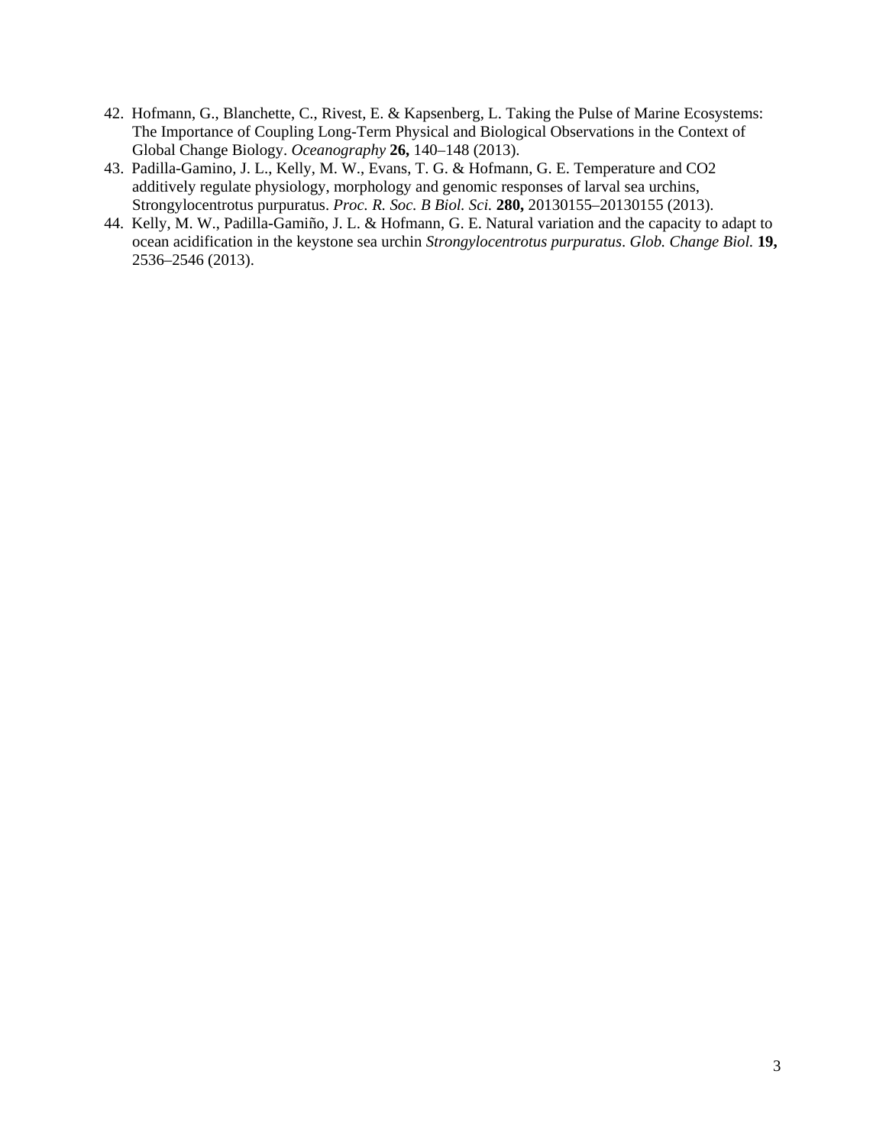- 42. Hofmann, G., Blanchette, C., Rivest, E. & Kapsenberg, L. Taking the Pulse of Marine Ecosystems: The Importance of Coupling Long-Term Physical and Biological Observations in the Context of Global Change Biology. *Oceanography* **26,** 140–148 (2013).
- 43. Padilla-Gamino, J. L., Kelly, M. W., Evans, T. G. & Hofmann, G. E. Temperature and CO2 additively regulate physiology, morphology and genomic responses of larval sea urchins, Strongylocentrotus purpuratus. *Proc. R. Soc. B Biol. Sci.* **280,** 20130155–20130155 (2013).
- 44. Kelly, M. W., Padilla-Gamiño, J. L. & Hofmann, G. E. Natural variation and the capacity to adapt to ocean acidification in the keystone sea urchin *Strongylocentrotus purpuratus*. *Glob. Change Biol.* **19,** 2536–2546 (2013).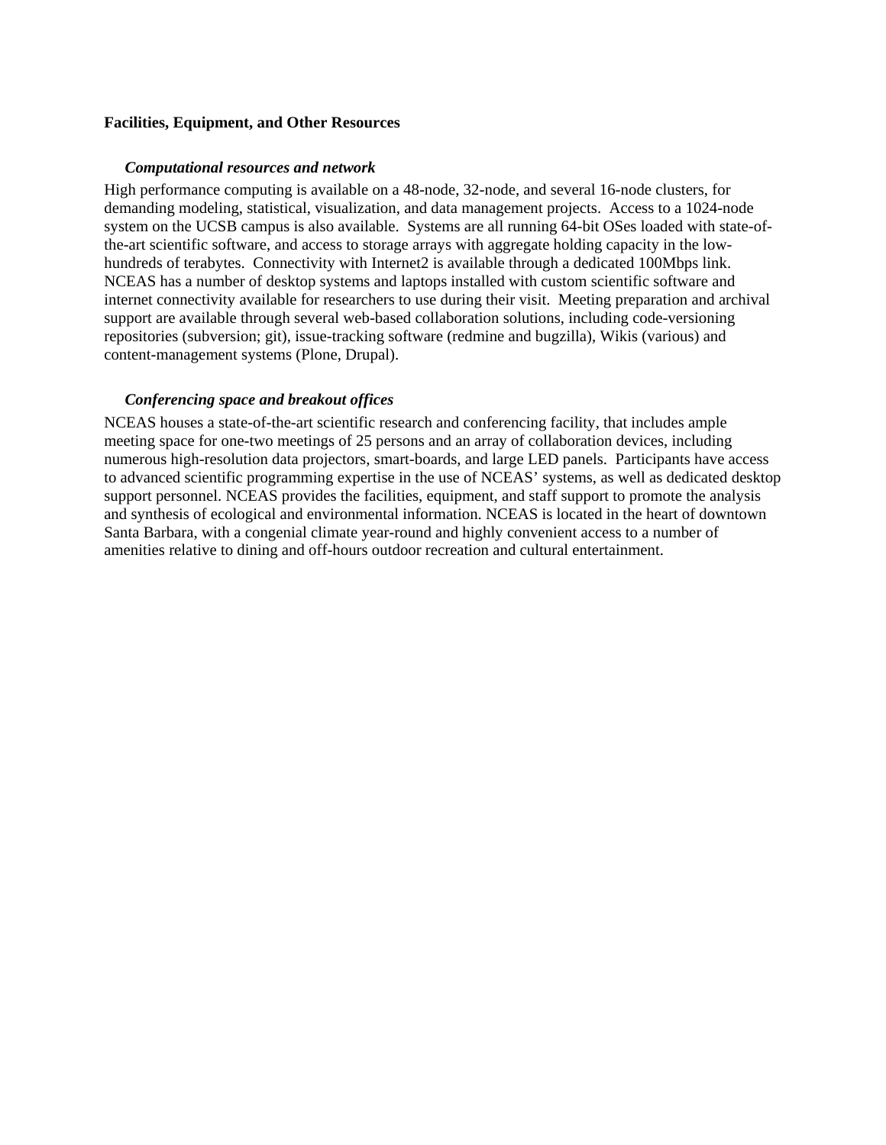#### **Facilities, Equipment, and Other Resources**

#### *Computational resources and network*

High performance computing is available on a 48-node, 32-node, and several 16-node clusters, for demanding modeling, statistical, visualization, and data management projects. Access to a 1024-node system on the UCSB campus is also available. Systems are all running 64-bit OSes loaded with state-ofthe-art scientific software, and access to storage arrays with aggregate holding capacity in the lowhundreds of terabytes. Connectivity with Internet2 is available through a dedicated 100Mbps link. NCEAS has a number of desktop systems and laptops installed with custom scientific software and internet connectivity available for researchers to use during their visit. Meeting preparation and archival support are available through several web-based collaboration solutions, including code-versioning repositories (subversion; git), issue-tracking software (redmine and bugzilla), Wikis (various) and content-management systems (Plone, Drupal).

#### *Conferencing space and breakout offices*

NCEAS houses a state-of-the-art scientific research and conferencing facility, that includes ample meeting space for one-two meetings of 25 persons and an array of collaboration devices, including numerous high-resolution data projectors, smart-boards, and large LED panels. Participants have access to advanced scientific programming expertise in the use of NCEAS' systems, as well as dedicated desktop support personnel. NCEAS provides the facilities, equipment, and staff support to promote the analysis and synthesis of ecological and environmental information. NCEAS is located in the heart of downtown Santa Barbara, with a congenial climate year-round and highly convenient access to a number of amenities relative to dining and off-hours outdoor recreation and cultural entertainment.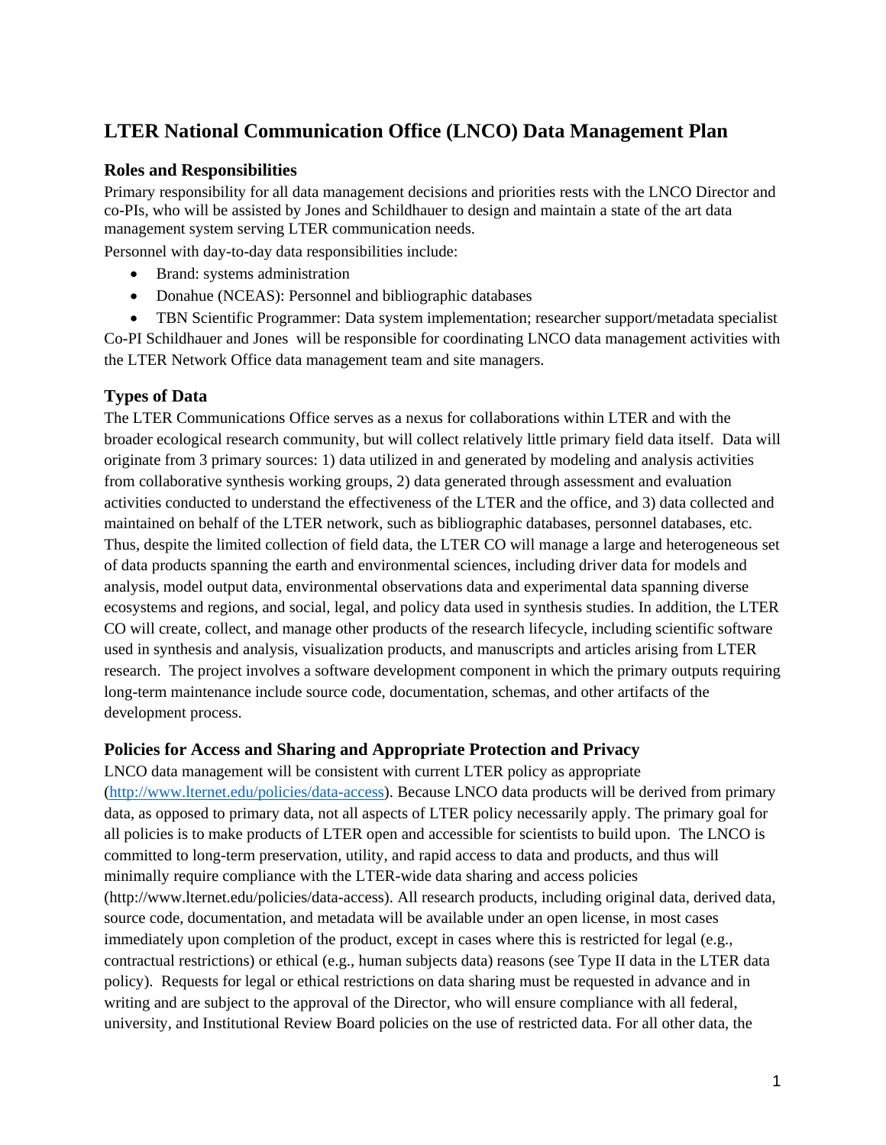# **LTER National Communication Office (LNCO) Data Management Plan**

## **Roles and Responsibilities**

Primary responsibility for all data management decisions and priorities rests with the LNCO Director and co-PIs, who will be assisted by Jones and Schildhauer to design and maintain a state of the art data management system serving LTER communication needs.

Personnel with day-to-day data responsibilities include:

- Brand: systems administration
- Donahue (NCEAS): Personnel and bibliographic databases

• TBN Scientific Programmer: Data system implementation; researcher support/metadata specialist Co-PI Schildhauer and Jones will be responsible for coordinating LNCO data management activities with the LTER Network Office data management team and site managers.

## **Types of Data**

The LTER Communications Office serves as a nexus for collaborations within LTER and with the broader ecological research community, but will collect relatively little primary field data itself. Data will originate from 3 primary sources: 1) data utilized in and generated by modeling and analysis activities from collaborative synthesis working groups, 2) data generated through assessment and evaluation activities conducted to understand the effectiveness of the LTER and the office, and 3) data collected and maintained on behalf of the LTER network, such as bibliographic databases, personnel databases, etc. Thus, despite the limited collection of field data, the LTER CO will manage a large and heterogeneous set of data products spanning the earth and environmental sciences, including driver data for models and analysis, model output data, environmental observations data and experimental data spanning diverse ecosystems and regions, and social, legal, and policy data used in synthesis studies. In addition, the LTER CO will create, collect, and manage other products of the research lifecycle, including scientific software used in synthesis and analysis, visualization products, and manuscripts and articles arising from LTER research. The project involves a software development component in which the primary outputs requiring long-term maintenance include source code, documentation, schemas, and other artifacts of the development process.

## **Policies for Access and Sharing and Appropriate Protection and Privacy**

LNCO data management will be consistent with current LTER policy as appropriate (http://www.lternet.edu/policies/data-access). Because LNCO data products will be derived from primary data, as opposed to primary data, not all aspects of LTER policy necessarily apply. The primary goal for all policies is to make products of LTER open and accessible for scientists to build upon. The LNCO is committed to long-term preservation, utility, and rapid access to data and products, and thus will minimally require compliance with the LTER-wide data sharing and access policies (http://www.lternet.edu/policies/data-access). All research products, including original data, derived data, source code, documentation, and metadata will be available under an open license, in most cases immediately upon completion of the product, except in cases where this is restricted for legal (e.g., contractual restrictions) or ethical (e.g., human subjects data) reasons (see Type II data in the LTER data policy). Requests for legal or ethical restrictions on data sharing must be requested in advance and in writing and are subject to the approval of the Director, who will ensure compliance with all federal, university, and Institutional Review Board policies on the use of restricted data. For all other data, the